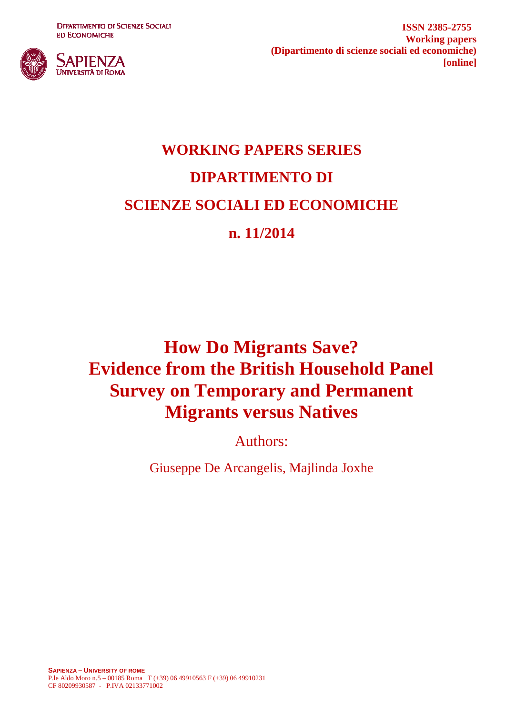**DIPARTIMENTO DI SCIENZE SOCIALI ED ECONOMICHE** 



**ISSN 2385-2755 Working papers (Dipartimento di scienze sociali ed economiche) [online]**

# **WORKING PAPERS SERIES DIPARTIMENTO DI SCIENZE SOCIALI ED ECONOMICHE n. 11/2014**

# **How Do Migrants Save? Evidence from the British Household Panel Survey on Temporary and Permanent Migrants versus Natives**

Authors:

Giuseppe De Arcangelis, Majlinda Joxhe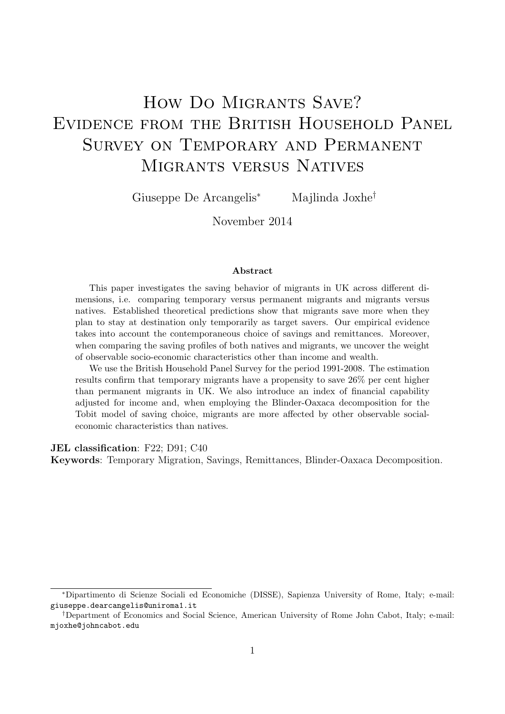# How Do Migrants Save? Evidence from the British Household Panel Survey on Temporary and Permanent Migrants versus Natives

Giuseppe De Arcangelis<sup>∗</sup> Majlinda Joxhe†

November 2014

#### Abstract

This paper investigates the saving behavior of migrants in UK across different dimensions, i.e. comparing temporary versus permanent migrants and migrants versus natives. Established theoretical predictions show that migrants save more when they plan to stay at destination only temporarily as target savers. Our empirical evidence takes into account the contemporaneous choice of savings and remittances. Moreover, when comparing the saving profiles of both natives and migrants, we uncover the weight of observable socio-economic characteristics other than income and wealth.

We use the British Household Panel Survey for the period 1991-2008. The estimation results confirm that temporary migrants have a propensity to save 26% per cent higher than permanent migrants in UK. We also introduce an index of financial capability adjusted for income and, when employing the Blinder-Oaxaca decomposition for the Tobit model of saving choice, migrants are more affected by other observable socialeconomic characteristics than natives.

JEL classification: F22; D91; C40

Keywords: Temporary Migration, Savings, Remittances, Blinder-Oaxaca Decomposition.

<sup>∗</sup>Dipartimento di Scienze Sociali ed Economiche (DISSE), Sapienza University of Rome, Italy; e-mail: giuseppe.dearcangelis@uniroma1.it

<sup>†</sup>Department of Economics and Social Science, American University of Rome John Cabot, Italy; e-mail: mjoxhe@johncabot.edu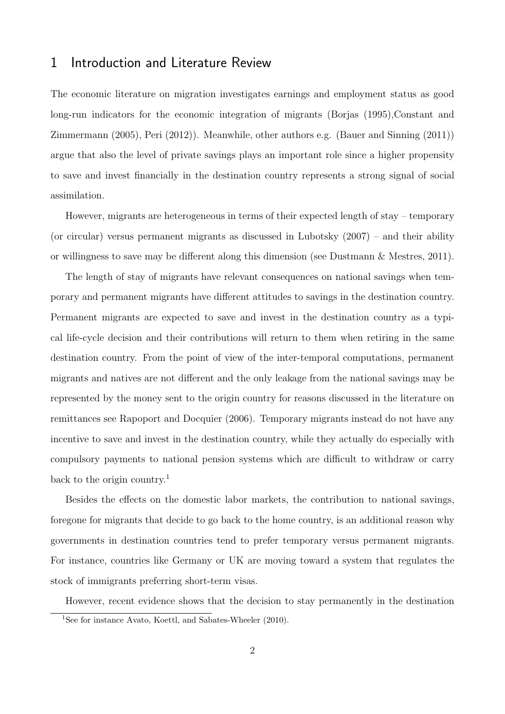### 1 Introduction and Literature Review

The economic literature on migration investigates earnings and employment status as good long-run indicators for the economic integration of migrants (Borjas (1995),Constant and Zimmermann (2005), Peri (2012)). Meanwhile, other authors e.g. (Bauer and Sinning (2011)) argue that also the level of private savings plays an important role since a higher propensity to save and invest financially in the destination country represents a strong signal of social assimilation.

However, migrants are heterogeneous in terms of their expected length of stay – temporary (or circular) versus permanent migrants as discussed in Lubotsky  $(2007)$  – and their ability or willingness to save may be different along this dimension (see Dustmann & Mestres, 2011).

The length of stay of migrants have relevant consequences on national savings when temporary and permanent migrants have different attitudes to savings in the destination country. Permanent migrants are expected to save and invest in the destination country as a typical life-cycle decision and their contributions will return to them when retiring in the same destination country. From the point of view of the inter-temporal computations, permanent migrants and natives are not different and the only leakage from the national savings may be represented by the money sent to the origin country for reasons discussed in the literature on remittances see Rapoport and Docquier (2006). Temporary migrants instead do not have any incentive to save and invest in the destination country, while they actually do especially with compulsory payments to national pension systems which are difficult to withdraw or carry back to the origin country.<sup>1</sup>

Besides the effects on the domestic labor markets, the contribution to national savings, foregone for migrants that decide to go back to the home country, is an additional reason why governments in destination countries tend to prefer temporary versus permanent migrants. For instance, countries like Germany or UK are moving toward a system that regulates the stock of immigrants preferring short-term visas.

However, recent evidence shows that the decision to stay permanently in the destination

<sup>&</sup>lt;sup>1</sup>See for instance Avato, Koettl, and Sabates-Wheeler (2010).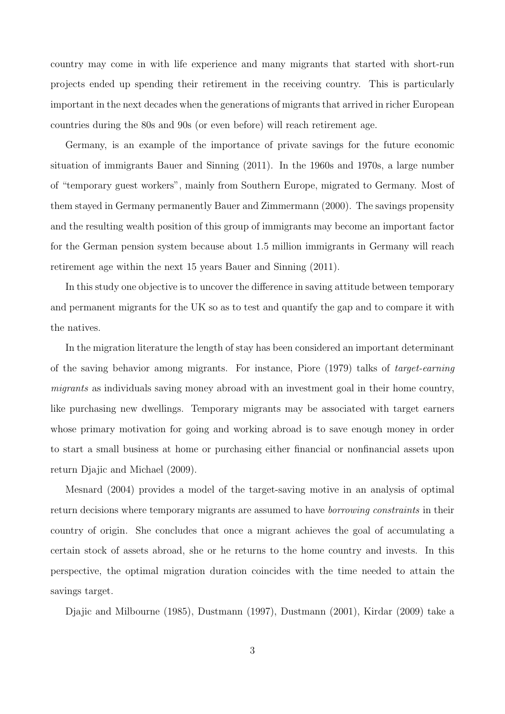country may come in with life experience and many migrants that started with short-run projects ended up spending their retirement in the receiving country. This is particularly important in the next decades when the generations of migrants that arrived in richer European countries during the 80s and 90s (or even before) will reach retirement age.

Germany, is an example of the importance of private savings for the future economic situation of immigrants Bauer and Sinning (2011). In the 1960s and 1970s, a large number of "temporary guest workers", mainly from Southern Europe, migrated to Germany. Most of them stayed in Germany permanently Bauer and Zimmermann (2000). The savings propensity and the resulting wealth position of this group of immigrants may become an important factor for the German pension system because about 1.5 million immigrants in Germany will reach retirement age within the next 15 years Bauer and Sinning (2011).

In this study one objective is to uncover the difference in saving attitude between temporary and permanent migrants for the UK so as to test and quantify the gap and to compare it with the natives.

In the migration literature the length of stay has been considered an important determinant of the saving behavior among migrants. For instance, Piore (1979) talks of target-earning migrants as individuals saving money abroad with an investment goal in their home country, like purchasing new dwellings. Temporary migrants may be associated with target earners whose primary motivation for going and working abroad is to save enough money in order to start a small business at home or purchasing either financial or nonfinancial assets upon return Djajic and Michael (2009).

Mesnard (2004) provides a model of the target-saving motive in an analysis of optimal return decisions where temporary migrants are assumed to have borrowing constraints in their country of origin. She concludes that once a migrant achieves the goal of accumulating a certain stock of assets abroad, she or he returns to the home country and invests. In this perspective, the optimal migration duration coincides with the time needed to attain the savings target.

Djajic and Milbourne (1985), Dustmann (1997), Dustmann (2001), Kirdar (2009) take a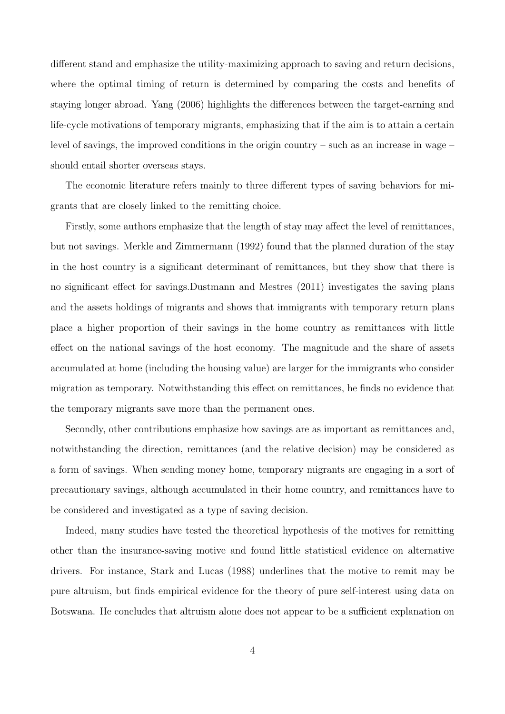different stand and emphasize the utility-maximizing approach to saving and return decisions, where the optimal timing of return is determined by comparing the costs and benefits of staying longer abroad. Yang (2006) highlights the differences between the target-earning and life-cycle motivations of temporary migrants, emphasizing that if the aim is to attain a certain level of savings, the improved conditions in the origin country – such as an increase in wage – should entail shorter overseas stays.

The economic literature refers mainly to three different types of saving behaviors for migrants that are closely linked to the remitting choice.

Firstly, some authors emphasize that the length of stay may affect the level of remittances, but not savings. Merkle and Zimmermann (1992) found that the planned duration of the stay in the host country is a significant determinant of remittances, but they show that there is no significant effect for savings.Dustmann and Mestres (2011) investigates the saving plans and the assets holdings of migrants and shows that immigrants with temporary return plans place a higher proportion of their savings in the home country as remittances with little effect on the national savings of the host economy. The magnitude and the share of assets accumulated at home (including the housing value) are larger for the immigrants who consider migration as temporary. Notwithstanding this effect on remittances, he finds no evidence that the temporary migrants save more than the permanent ones.

Secondly, other contributions emphasize how savings are as important as remittances and, notwithstanding the direction, remittances (and the relative decision) may be considered as a form of savings. When sending money home, temporary migrants are engaging in a sort of precautionary savings, although accumulated in their home country, and remittances have to be considered and investigated as a type of saving decision.

Indeed, many studies have tested the theoretical hypothesis of the motives for remitting other than the insurance-saving motive and found little statistical evidence on alternative drivers. For instance, Stark and Lucas (1988) underlines that the motive to remit may be pure altruism, but finds empirical evidence for the theory of pure self-interest using data on Botswana. He concludes that altruism alone does not appear to be a sufficient explanation on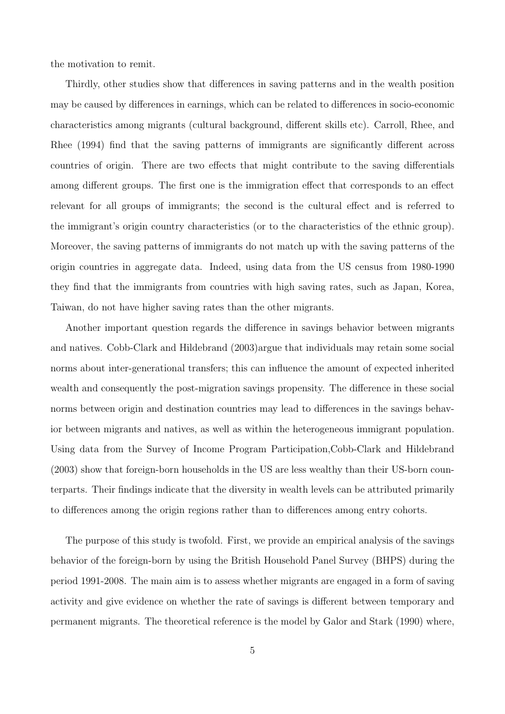the motivation to remit.

Thirdly, other studies show that differences in saving patterns and in the wealth position may be caused by differences in earnings, which can be related to differences in socio-economic characteristics among migrants (cultural background, different skills etc). Carroll, Rhee, and Rhee (1994) find that the saving patterns of immigrants are significantly different across countries of origin. There are two effects that might contribute to the saving differentials among different groups. The first one is the immigration effect that corresponds to an effect relevant for all groups of immigrants; the second is the cultural effect and is referred to the immigrant's origin country characteristics (or to the characteristics of the ethnic group). Moreover, the saving patterns of immigrants do not match up with the saving patterns of the origin countries in aggregate data. Indeed, using data from the US census from 1980-1990 they find that the immigrants from countries with high saving rates, such as Japan, Korea, Taiwan, do not have higher saving rates than the other migrants.

Another important question regards the difference in savings behavior between migrants and natives. Cobb-Clark and Hildebrand (2003)argue that individuals may retain some social norms about inter-generational transfers; this can influence the amount of expected inherited wealth and consequently the post-migration savings propensity. The difference in these social norms between origin and destination countries may lead to differences in the savings behavior between migrants and natives, as well as within the heterogeneous immigrant population. Using data from the Survey of Income Program Participation,Cobb-Clark and Hildebrand (2003) show that foreign-born households in the US are less wealthy than their US-born counterparts. Their findings indicate that the diversity in wealth levels can be attributed primarily to differences among the origin regions rather than to differences among entry cohorts.

The purpose of this study is twofold. First, we provide an empirical analysis of the savings behavior of the foreign-born by using the British Household Panel Survey (BHPS) during the period 1991-2008. The main aim is to assess whether migrants are engaged in a form of saving activity and give evidence on whether the rate of savings is different between temporary and permanent migrants. The theoretical reference is the model by Galor and Stark (1990) where,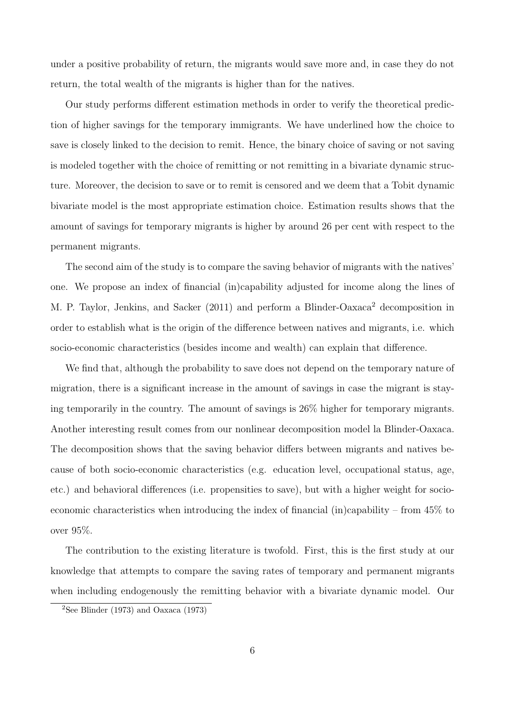under a positive probability of return, the migrants would save more and, in case they do not return, the total wealth of the migrants is higher than for the natives.

Our study performs different estimation methods in order to verify the theoretical prediction of higher savings for the temporary immigrants. We have underlined how the choice to save is closely linked to the decision to remit. Hence, the binary choice of saving or not saving is modeled together with the choice of remitting or not remitting in a bivariate dynamic structure. Moreover, the decision to save or to remit is censored and we deem that a Tobit dynamic bivariate model is the most appropriate estimation choice. Estimation results shows that the amount of savings for temporary migrants is higher by around 26 per cent with respect to the permanent migrants.

The second aim of the study is to compare the saving behavior of migrants with the natives' one. We propose an index of financial (in)capability adjusted for income along the lines of M. P. Taylor, Jenkins, and Sacker (2011) and perform a Blinder-Oaxaca<sup>2</sup> decomposition in order to establish what is the origin of the difference between natives and migrants, i.e. which socio-economic characteristics (besides income and wealth) can explain that difference.

We find that, although the probability to save does not depend on the temporary nature of migration, there is a significant increase in the amount of savings in case the migrant is staying temporarily in the country. The amount of savings is 26% higher for temporary migrants. Another interesting result comes from our nonlinear decomposition model la Blinder-Oaxaca. The decomposition shows that the saving behavior differs between migrants and natives because of both socio-economic characteristics (e.g. education level, occupational status, age, etc.) and behavioral differences (i.e. propensities to save), but with a higher weight for socioeconomic characteristics when introducing the index of financial (in)capability – from 45% to over 95%.

The contribution to the existing literature is twofold. First, this is the first study at our knowledge that attempts to compare the saving rates of temporary and permanent migrants when including endogenously the remitting behavior with a bivariate dynamic model. Our

<sup>&</sup>lt;sup>2</sup>See Blinder (1973) and Oaxaca (1973)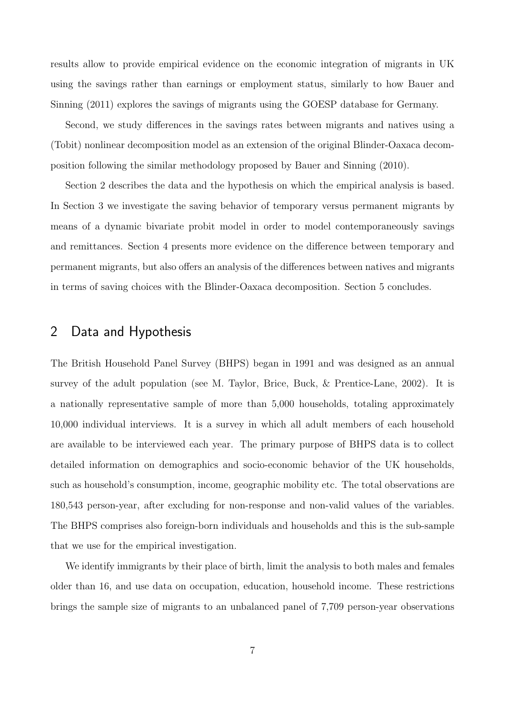results allow to provide empirical evidence on the economic integration of migrants in UK using the savings rather than earnings or employment status, similarly to how Bauer and Sinning (2011) explores the savings of migrants using the GOESP database for Germany.

Second, we study differences in the savings rates between migrants and natives using a (Tobit) nonlinear decomposition model as an extension of the original Blinder-Oaxaca decomposition following the similar methodology proposed by Bauer and Sinning (2010).

Section 2 describes the data and the hypothesis on which the empirical analysis is based. In Section 3 we investigate the saving behavior of temporary versus permanent migrants by means of a dynamic bivariate probit model in order to model contemporaneously savings and remittances. Section 4 presents more evidence on the difference between temporary and permanent migrants, but also offers an analysis of the differences between natives and migrants in terms of saving choices with the Blinder-Oaxaca decomposition. Section 5 concludes.

### 2 Data and Hypothesis

The British Household Panel Survey (BHPS) began in 1991 and was designed as an annual survey of the adult population (see M. Taylor, Brice, Buck, & Prentice-Lane, 2002). It is a nationally representative sample of more than 5,000 households, totaling approximately 10,000 individual interviews. It is a survey in which all adult members of each household are available to be interviewed each year. The primary purpose of BHPS data is to collect detailed information on demographics and socio-economic behavior of the UK households, such as household's consumption, income, geographic mobility etc. The total observations are 180,543 person-year, after excluding for non-response and non-valid values of the variables. The BHPS comprises also foreign-born individuals and households and this is the sub-sample that we use for the empirical investigation.

We identify immigrants by their place of birth, limit the analysis to both males and females older than 16, and use data on occupation, education, household income. These restrictions brings the sample size of migrants to an unbalanced panel of 7,709 person-year observations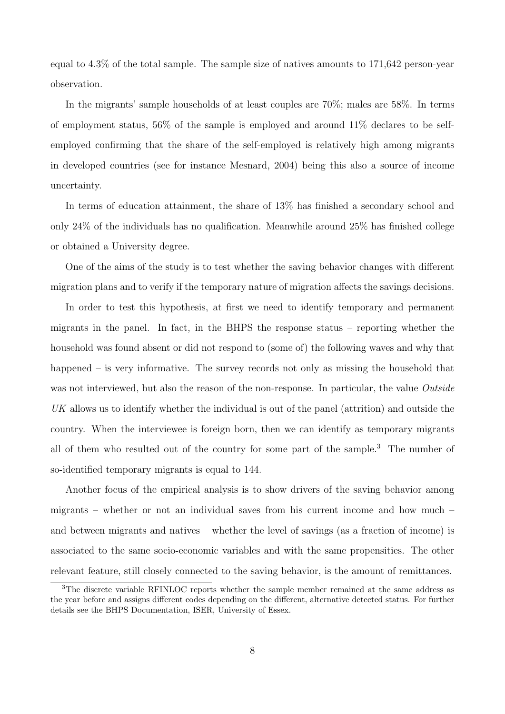equal to 4.3% of the total sample. The sample size of natives amounts to 171,642 person-year observation.

In the migrants' sample households of at least couples are 70%; males are 58%. In terms of employment status, 56% of the sample is employed and around 11% declares to be selfemployed confirming that the share of the self-employed is relatively high among migrants in developed countries (see for instance Mesnard, 2004) being this also a source of income uncertainty.

In terms of education attainment, the share of 13% has finished a secondary school and only 24% of the individuals has no qualification. Meanwhile around 25% has finished college or obtained a University degree.

One of the aims of the study is to test whether the saving behavior changes with different migration plans and to verify if the temporary nature of migration affects the savings decisions.

In order to test this hypothesis, at first we need to identify temporary and permanent migrants in the panel. In fact, in the BHPS the response status – reporting whether the household was found absent or did not respond to (some of) the following waves and why that happened – is very informative. The survey records not only as missing the household that was not interviewed, but also the reason of the non-response. In particular, the value Outside UK allows us to identify whether the individual is out of the panel (attrition) and outside the country. When the interviewee is foreign born, then we can identify as temporary migrants all of them who resulted out of the country for some part of the sample.<sup>3</sup> The number of so-identified temporary migrants is equal to 144.

Another focus of the empirical analysis is to show drivers of the saving behavior among migrants – whether or not an individual saves from his current income and how much – and between migrants and natives – whether the level of savings (as a fraction of income) is associated to the same socio-economic variables and with the same propensities. The other relevant feature, still closely connected to the saving behavior, is the amount of remittances.

<sup>3</sup>The discrete variable RFINLOC reports whether the sample member remained at the same address as the year before and assigns different codes depending on the different, alternative detected status. For further details see the BHPS Documentation, ISER, University of Essex.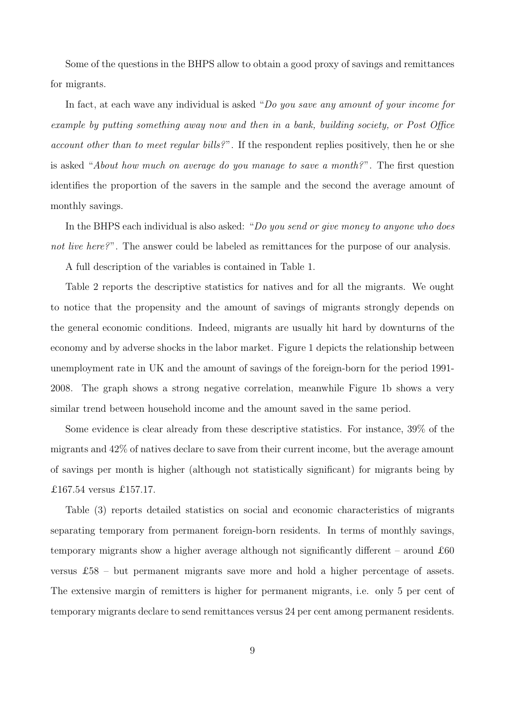Some of the questions in the BHPS allow to obtain a good proxy of savings and remittances for migrants.

In fact, at each wave any individual is asked "Do you save any amount of your income for example by putting something away now and then in a bank, building society, or Post Office account other than to meet regular bills?". If the respondent replies positively, then he or she is asked "About how much on average do you manage to save a month?". The first question identifies the proportion of the savers in the sample and the second the average amount of monthly savings.

In the BHPS each individual is also asked: "Do you send or give money to anyone who does not live here?". The answer could be labeled as remittances for the purpose of our analysis.

A full description of the variables is contained in Table 1.

Table 2 reports the descriptive statistics for natives and for all the migrants. We ought to notice that the propensity and the amount of savings of migrants strongly depends on the general economic conditions. Indeed, migrants are usually hit hard by downturns of the economy and by adverse shocks in the labor market. Figure 1 depicts the relationship between unemployment rate in UK and the amount of savings of the foreign-born for the period 1991- 2008. The graph shows a strong negative correlation, meanwhile Figure 1b shows a very similar trend between household income and the amount saved in the same period.

Some evidence is clear already from these descriptive statistics. For instance, 39% of the migrants and 42% of natives declare to save from their current income, but the average amount of savings per month is higher (although not statistically significant) for migrants being by £167.54 versus £157.17.

Table (3) reports detailed statistics on social and economic characteristics of migrants separating temporary from permanent foreign-born residents. In terms of monthly savings, temporary migrants show a higher average although not significantly different – around  $£60$ versus £58 – but permanent migrants save more and hold a higher percentage of assets. The extensive margin of remitters is higher for permanent migrants, i.e. only 5 per cent of temporary migrants declare to send remittances versus 24 per cent among permanent residents.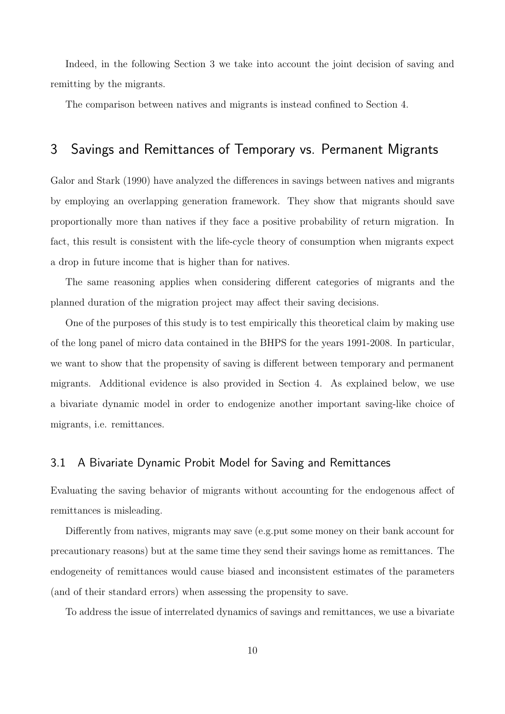Indeed, in the following Section 3 we take into account the joint decision of saving and remitting by the migrants.

The comparison between natives and migrants is instead confined to Section 4.

## 3 Savings and Remittances of Temporary vs. Permanent Migrants

Galor and Stark (1990) have analyzed the differences in savings between natives and migrants by employing an overlapping generation framework. They show that migrants should save proportionally more than natives if they face a positive probability of return migration. In fact, this result is consistent with the life-cycle theory of consumption when migrants expect a drop in future income that is higher than for natives.

The same reasoning applies when considering different categories of migrants and the planned duration of the migration project may affect their saving decisions.

One of the purposes of this study is to test empirically this theoretical claim by making use of the long panel of micro data contained in the BHPS for the years 1991-2008. In particular, we want to show that the propensity of saving is different between temporary and permanent migrants. Additional evidence is also provided in Section 4. As explained below, we use a bivariate dynamic model in order to endogenize another important saving-like choice of migrants, i.e. remittances.

### 3.1 A Bivariate Dynamic Probit Model for Saving and Remittances

Evaluating the saving behavior of migrants without accounting for the endogenous affect of remittances is misleading.

Differently from natives, migrants may save (e.g.put some money on their bank account for precautionary reasons) but at the same time they send their savings home as remittances. The endogeneity of remittances would cause biased and inconsistent estimates of the parameters (and of their standard errors) when assessing the propensity to save.

To address the issue of interrelated dynamics of savings and remittances, we use a bivariate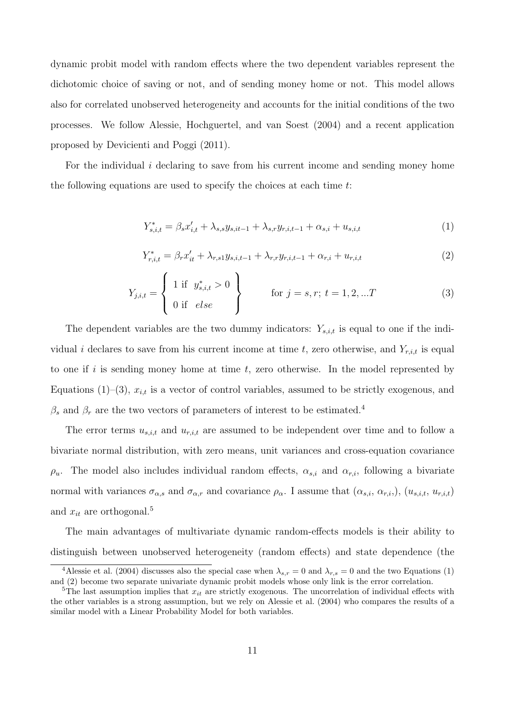dynamic probit model with random effects where the two dependent variables represent the dichotomic choice of saving or not, and of sending money home or not. This model allows also for correlated unobserved heterogeneity and accounts for the initial conditions of the two processes. We follow Alessie, Hochguertel, and van Soest (2004) and a recent application proposed by Devicienti and Poggi (2011).

For the individual i declaring to save from his current income and sending money home the following equations are used to specify the choices at each time t:

$$
Y_{s,i,t}^* = \beta_s x_{i,t} + \lambda_{s,s} y_{s,i,t-1} + \lambda_{s,r} y_{r,i,t-1} + \alpha_{s,i} + u_{s,i,t}
$$
 (1)

$$
Y_{r,i,t}^* = \beta_r x_{it}' + \lambda_{r,s1} y_{s,i,t-1} + \lambda_{r,r} y_{r,i,t-1} + \alpha_{r,i} + u_{r,i,t}
$$
 (2)

$$
Y_{j,i,t} = \begin{cases} 1 \text{ if } y_{s,i,t}^* > 0 \\ 0 \text{ if } else \end{cases} \qquad \text{for } j = s, r; t = 1, 2, ...T \qquad (3)
$$

The dependent variables are the two dummy indicators:  $Y_{s,i,t}$  is equal to one if the individual i declares to save from his current income at time t, zero otherwise, and  $Y_{r,i,t}$  is equal to one if i is sending money home at time  $t$ , zero otherwise. In the model represented by Equations (1)–(3),  $x_{i,t}$  is a vector of control variables, assumed to be strictly exogenous, and  $\beta_s$  and  $\beta_r$  are the two vectors of parameters of interest to be estimated.<sup>4</sup>

The error terms  $u_{s,i,t}$  and  $u_{r,i,t}$  are assumed to be independent over time and to follow a bivariate normal distribution, with zero means, unit variances and cross-equation covariance  $\rho_u$ . The model also includes individual random effects,  $\alpha_{s,i}$  and  $\alpha_{r,i}$ , following a bivariate normal with variances  $\sigma_{\alpha,s}$  and  $\sigma_{\alpha,r}$  and covariance  $\rho_{\alpha}$ . I assume that  $(\alpha_{s,i}, \alpha_{r,i})$ ,  $(u_{s,i,t}, u_{r,i,t})$ and  $x_{it}$  are orthogonal.<sup>5</sup>

The main advantages of multivariate dynamic random-effects models is their ability to distinguish between unobserved heterogeneity (random effects) and state dependence (the

<sup>&</sup>lt;sup>4</sup>Alessie et al. (2004) discusses also the special case when  $\lambda_{s,r} = 0$  and  $\lambda_{r,s} = 0$  and the two Equations (1) and (2) become two separate univariate dynamic probit models whose only link is the error correlation.

<sup>&</sup>lt;sup>5</sup>The last assumption implies that  $x_{it}$  are strictly exogenous. The uncorrelation of individual effects with the other variables is a strong assumption, but we rely on Alessie et al. (2004) who compares the results of a similar model with a Linear Probability Model for both variables.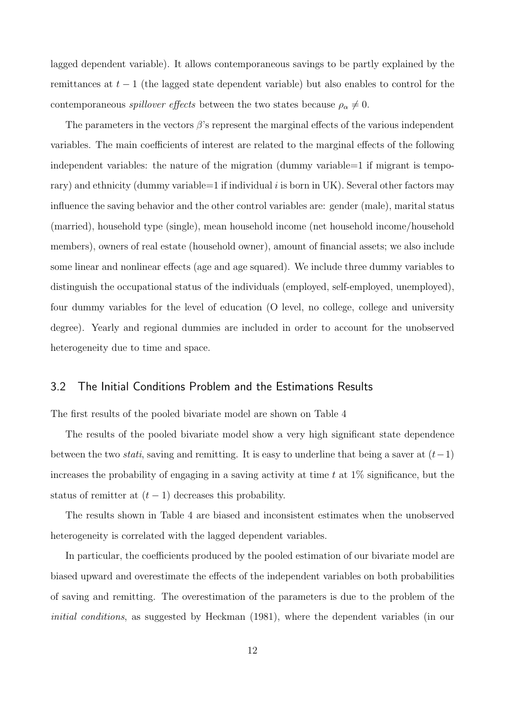lagged dependent variable). It allows contemporaneous savings to be partly explained by the remittances at  $t-1$  (the lagged state dependent variable) but also enables to control for the contemporaneous *spillover effects* between the two states because  $\rho_{\alpha} \neq 0$ .

The parameters in the vectors  $\beta$ 's represent the marginal effects of the various independent variables. The main coefficients of interest are related to the marginal effects of the following independent variables: the nature of the migration (dummy variable=1 if migrant is temporary) and ethnicity (dummy variable  $=1$  if individual i is born in UK). Several other factors may influence the saving behavior and the other control variables are: gender (male), marital status (married), household type (single), mean household income (net household income/household members), owners of real estate (household owner), amount of financial assets; we also include some linear and nonlinear effects (age and age squared). We include three dummy variables to distinguish the occupational status of the individuals (employed, self-employed, unemployed), four dummy variables for the level of education (O level, no college, college and university degree). Yearly and regional dummies are included in order to account for the unobserved heterogeneity due to time and space.

#### 3.2 The Initial Conditions Problem and the Estimations Results

The first results of the pooled bivariate model are shown on Table 4

The results of the pooled bivariate model show a very high significant state dependence between the two *stati*, saving and remitting. It is easy to underline that being a saver at  $(t-1)$ increases the probability of engaging in a saving activity at time  $t$  at  $1\%$  significance, but the status of remitter at  $(t-1)$  decreases this probability.

The results shown in Table 4 are biased and inconsistent estimates when the unobserved heterogeneity is correlated with the lagged dependent variables.

In particular, the coefficients produced by the pooled estimation of our bivariate model are biased upward and overestimate the effects of the independent variables on both probabilities of saving and remitting. The overestimation of the parameters is due to the problem of the initial conditions, as suggested by Heckman (1981), where the dependent variables (in our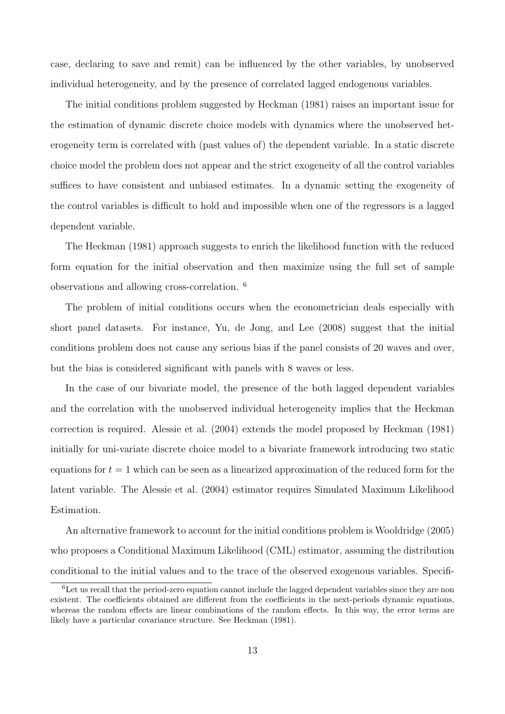case, declaring to save and remit) can be influenced by the other variables, by unobserved individual heterogeneity, and by the presence of correlated lagged endogenous variables.

The initial conditions problem suggested by Heckman (1981) raises an important issue for the estimation of dynamic discrete choice models with dynamics where the unobserved heterogeneity term is correlated with (past values of) the dependent variable. In a static discrete choice model the problem does not appear and the strict exogeneity of all the control variables suffices to have consistent and unbiased estimates. In a dynamic setting the exogeneity of the control variables is difficult to hold and impossible when one of the regressors is a lagged dependent variable.

The Heckman (1981) approach suggests to enrich the likelihood function with the reduced form equation for the initial observation and then maximize using the full set of sample observations and allowing cross-correlation. <sup>6</sup>

The problem of initial conditions occurs when the econometrician deals especially with short panel datasets. For instance, Yu, de Jong, and Lee (2008) suggest that the initial conditions problem does not cause any serious bias if the panel consists of 20 waves and over, but the bias is considered significant with panels with 8 waves or less.

In the case of our bivariate model, the presence of the both lagged dependent variables and the correlation with the unobserved individual heterogeneity implies that the Heckman correction is required. Alessie et al. (2004) extends the model proposed by Heckman (1981) initially for uni-variate discrete choice model to a bivariate framework introducing two static equations for  $t = 1$  which can be seen as a linearized approximation of the reduced form for the latent variable. The Alessie et al. (2004) estimator requires Simulated Maximum Likelihood Estimation.

An alternative framework to account for the initial conditions problem is Wooldridge (2005) who proposes a Conditional Maximum Likelihood (CML) estimator, assuming the distribution conditional to the initial values and to the trace of the observed exogenous variables. Specifi-

<sup>6</sup>Let us recall that the period-zero equation cannot include the lagged dependent variables since they are non existent. The coefficients obtained are different from the coefficients in the next-periods dynamic equations, whereas the random effects are linear combinations of the random effects. In this way, the error terms are likely have a particular covariance structure. See Heckman (1981).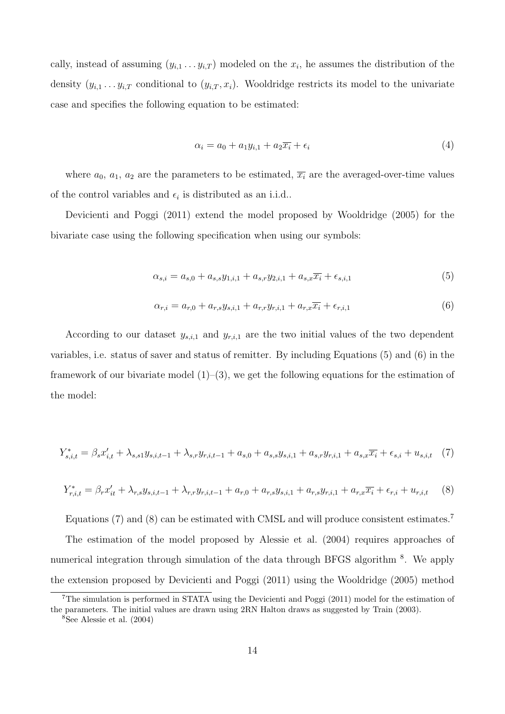cally, instead of assuming  $(y_{i,1} \ldots y_{i,T})$  modeled on the  $x_i$ , he assumes the distribution of the density  $(y_{i,1} \ldots y_{i,T}$  conditional to  $(y_{i,T}, x_i)$ . Wooldridge restricts its model to the univariate case and specifies the following equation to be estimated:

$$
\alpha_i = a_0 + a_1 y_{i,1} + a_2 \overline{x_i} + \epsilon_i \tag{4}
$$

where  $a_0$ ,  $a_1$ ,  $a_2$  are the parameters to be estimated,  $\overline{x_i}$  are the averaged-over-time values of the control variables and  $\epsilon_i$  is distributed as an i.i.d..

Devicienti and Poggi (2011) extend the model proposed by Wooldridge (2005) for the bivariate case using the following specification when using our symbols:

$$
\alpha_{s,i} = a_{s,0} + a_{s,s}y_{1,i,1} + a_{s,r}y_{2,i,1} + a_{s,x}\overline{x_i} + \epsilon_{s,i,1}
$$
\n<sup>(5)</sup>

$$
\alpha_{r,i} = a_{r,0} + a_{r,s} y_{s,i,1} + a_{r,r} y_{r,i,1} + a_{r,x} \overline{x_i} + \epsilon_{r,i,1} \tag{6}
$$

According to our dataset  $y_{s,i,1}$  and  $y_{r,i,1}$  are the two initial values of the two dependent variables, i.e. status of saver and status of remitter. By including Equations (5) and (6) in the framework of our bivariate model  $(1)$ – $(3)$ , we get the following equations for the estimation of the model:

$$
Y_{s,i,t}^* = \beta_s x_{i,t}' + \lambda_{s,s1} y_{s,i,t-1} + \lambda_{s,r} y_{r,i,t-1} + a_{s,0} + a_{s,s} y_{s,i,1} + a_{s,r} y_{r,i,1} + a_{s,x} \overline{x_i} + \epsilon_{s,i} + u_{s,i,t} \tag{7}
$$

$$
Y_{r,i,t}^* = \beta_r x_{it}' + \lambda_{r,s} y_{s,i,t-1} + \lambda_{r,r} y_{r,i,t-1} + a_{r,0} + a_{r,s} y_{s,i,1} + a_{r,s} y_{r,i,1} + a_{r,x} \overline{x_i} + \epsilon_{r,i} + u_{r,i,t} \tag{8}
$$

Equations (7) and (8) can be estimated with CMSL and will produce consistent estimates.<sup>7</sup>

The estimation of the model proposed by Alessie et al. (2004) requires approaches of numerical integration through simulation of the data through BFGS algorithm<sup>8</sup>. We apply the extension proposed by Devicienti and Poggi (2011) using the Wooldridge (2005) method

<sup>7</sup>The simulation is performed in STATA using the Devicienti and Poggi (2011) model for the estimation of the parameters. The initial values are drawn using 2RN Halton draws as suggested by Train (2003).

<sup>8</sup>See Alessie et al. (2004)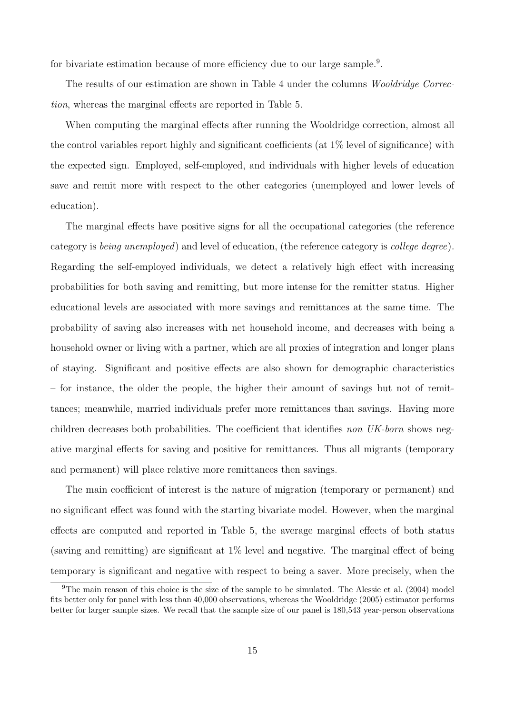for bivariate estimation because of more efficiency due to our large sample.<sup>9</sup>.

The results of our estimation are shown in Table 4 under the columns *Wooldridge Correc*tion, whereas the marginal effects are reported in Table 5.

When computing the marginal effects after running the Wooldridge correction, almost all the control variables report highly and significant coefficients (at  $1\%$  level of significance) with the expected sign. Employed, self-employed, and individuals with higher levels of education save and remit more with respect to the other categories (unemployed and lower levels of education).

The marginal effects have positive signs for all the occupational categories (the reference category is being unemployed) and level of education, (the reference category is college degree). Regarding the self-employed individuals, we detect a relatively high effect with increasing probabilities for both saving and remitting, but more intense for the remitter status. Higher educational levels are associated with more savings and remittances at the same time. The probability of saving also increases with net household income, and decreases with being a household owner or living with a partner, which are all proxies of integration and longer plans of staying. Significant and positive effects are also shown for demographic characteristics – for instance, the older the people, the higher their amount of savings but not of remittances; meanwhile, married individuals prefer more remittances than savings. Having more children decreases both probabilities. The coefficient that identifies non UK-born shows negative marginal effects for saving and positive for remittances. Thus all migrants (temporary and permanent) will place relative more remittances then savings.

The main coefficient of interest is the nature of migration (temporary or permanent) and no significant effect was found with the starting bivariate model. However, when the marginal effects are computed and reported in Table 5, the average marginal effects of both status (saving and remitting) are significant at 1% level and negative. The marginal effect of being temporary is significant and negative with respect to being a saver. More precisely, when the

 $9$ The main reason of this choice is the size of the sample to be simulated. The Alessie et al. (2004) model fits better only for panel with less than 40,000 observations, whereas the Wooldridge (2005) estimator performs better for larger sample sizes. We recall that the sample size of our panel is 180,543 year-person observations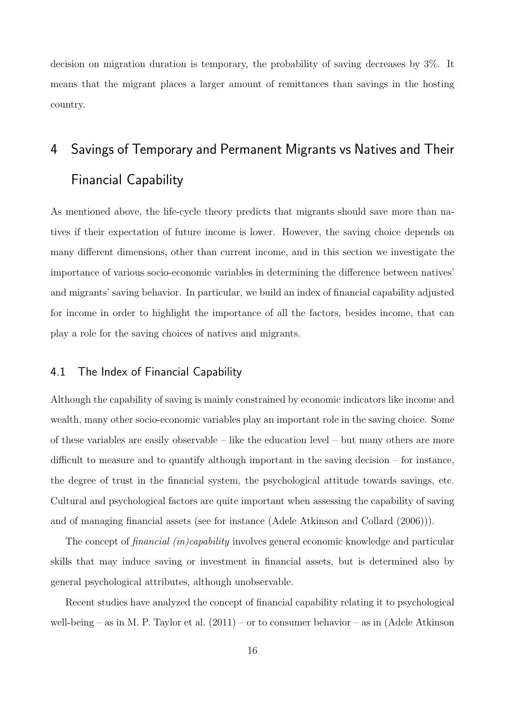decision on migration duration is temporary, the probability of saving decreases by 3%. It means that the migrant places a larger amount of remittances than savings in the hosting country.

# 4 Savings of Temporary and Permanent Migrants vs Natives and Their Financial Capability

As mentioned above, the life-cycle theory predicts that migrants should save more than natives if their expectation of future income is lower. However, the saving choice depends on many different dimensions, other than current income, and in this section we investigate the importance of various socio-economic variables in determining the difference between natives' and migrants' saving behavior. In particular, we build an index of financial capability adjusted for income in order to highlight the importance of all the factors, besides income, that can play a role for the saving choices of natives and migrants.

#### 4.1 The Index of Financial Capability

Although the capability of saving is mainly constrained by economic indicators like income and wealth, many other socio-economic variables play an important role in the saving choice. Some of these variables are easily observable – like the education level – but many others are more difficult to measure and to quantify although important in the saving decision – for instance, the degree of trust in the financial system, the psychological attitude towards savings, etc. Cultural and psychological factors are quite important when assessing the capability of saving and of managing financial assets (see for instance (Adele Atkinson and Collard (2006))).

The concept of *financial (in)capability* involves general economic knowledge and particular skills that may induce saving or investment in financial assets, but is determined also by general psychological attributes, although unobservable.

Recent studies have analyzed the concept of financial capability relating it to psychological well-being – as in M. P. Taylor et al.  $(2011)$  – or to consumer behavior – as in (Adele Atkinson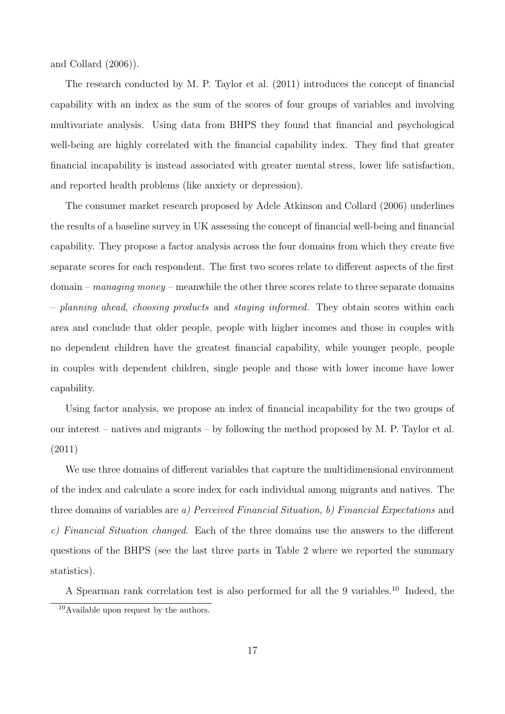and Collard (2006)).

The research conducted by M. P. Taylor et al. (2011) introduces the concept of financial capability with an index as the sum of the scores of four groups of variables and involving multivariate analysis. Using data from BHPS they found that financial and psychological well-being are highly correlated with the financial capability index. They find that greater financial incapability is instead associated with greater mental stress, lower life satisfaction, and reported health problems (like anxiety or depression).

The consumer market research proposed by Adele Atkinson and Collard (2006) underlines the results of a baseline survey in UK assessing the concept of financial well-being and financial capability. They propose a factor analysis across the four domains from which they create five separate scores for each respondent. The first two scores relate to different aspects of the first  $domain - managing money - meanwhile the other three scores relate to three separate domains$ – planning ahead, choosing products and staying informed. They obtain scores within each area and conclude that older people, people with higher incomes and those in couples with no dependent children have the greatest financial capability, while younger people, people in couples with dependent children, single people and those with lower income have lower capability.

Using factor analysis, we propose an index of financial incapability for the two groups of our interest – natives and migrants – by following the method proposed by M. P. Taylor et al. (2011)

We use three domains of different variables that capture the multidimensional environment of the index and calculate a score index for each individual among migrants and natives. The three domains of variables are a) Perceived Financial Situation, b) Financial Expectations and c) Financial Situation changed. Each of the three domains use the answers to the different questions of the BHPS (see the last three parts in Table 2 where we reported the summary statistics).

A Spearman rank correlation test is also performed for all the 9 variables.<sup>10</sup> Indeed, the

<sup>10</sup>Available upon request by the authors.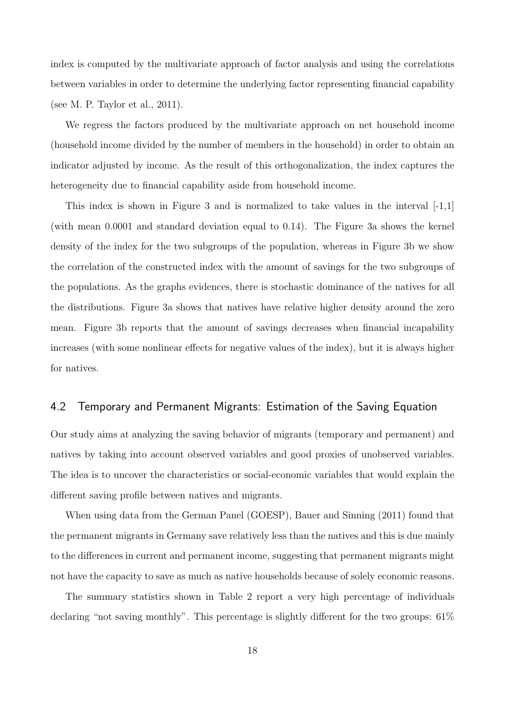index is computed by the multivariate approach of factor analysis and using the correlations between variables in order to determine the underlying factor representing financial capability (see M. P. Taylor et al., 2011).

We regress the factors produced by the multivariate approach on net household income (household income divided by the number of members in the household) in order to obtain an indicator adjusted by income. As the result of this orthogonalization, the index captures the heterogeneity due to financial capability aside from household income.

This index is shown in Figure 3 and is normalized to take values in the interval  $[-1,1]$ (with mean 0.0001 and standard deviation equal to 0.14). The Figure 3a shows the kernel density of the index for the two subgroups of the population, whereas in Figure 3b we show the correlation of the constructed index with the amount of savings for the two subgroups of the populations. As the graphs evidences, there is stochastic dominance of the natives for all the distributions. Figure 3a shows that natives have relative higher density around the zero mean. Figure 3b reports that the amount of savings decreases when financial incapability increases (with some nonlinear effects for negative values of the index), but it is always higher for natives.

### 4.2 Temporary and Permanent Migrants: Estimation of the Saving Equation

Our study aims at analyzing the saving behavior of migrants (temporary and permanent) and natives by taking into account observed variables and good proxies of unobserved variables. The idea is to uncover the characteristics or social-economic variables that would explain the different saving profile between natives and migrants.

When using data from the German Panel (GOESP), Bauer and Sinning (2011) found that the permanent migrants in Germany save relatively less than the natives and this is due mainly to the differences in current and permanent income, suggesting that permanent migrants might not have the capacity to save as much as native households because of solely economic reasons.

The summary statistics shown in Table 2 report a very high percentage of individuals declaring "not saving monthly". This percentage is slightly different for the two groups:  $61\%$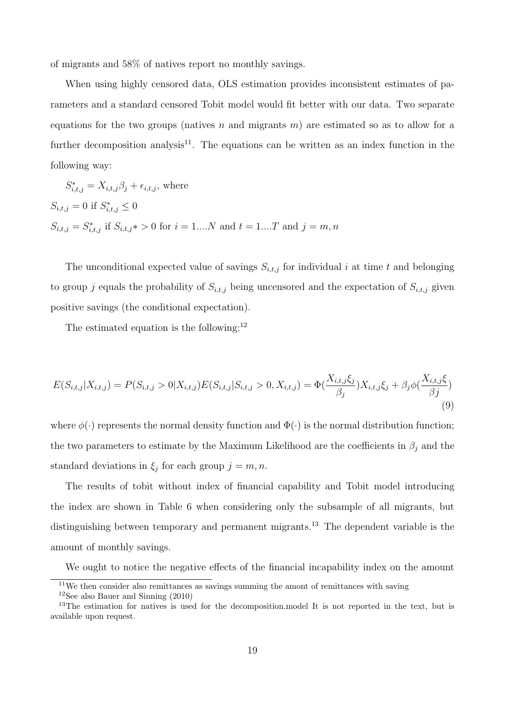of migrants and 58% of natives report no monthly savings.

When using highly censored data, OLS estimation provides inconsistent estimates of parameters and a standard censored Tobit model would fit better with our data. Two separate equations for the two groups (natives n and migrants  $m$ ) are estimated so as to allow for a further decomposition analysis<sup>11</sup>. The equations can be written as an index function in the following way:

$$
S_{i,t,j}^* = X_{i,t,j}\beta_j + \epsilon_{i,t,j},
$$
 where  

$$
S_{i,t,j} = 0
$$
 if  $S_{i,t,j}^* \le 0$   

$$
S_{i,t,j} = S_{i,t,j}^*
$$
 if  $S_{i,t,j}^* > 0$  for  $i = 1...N$  and  $t = 1...T$  and  $j = m, n$ 

The unconditional expected value of savings  $S_{i,t,j}$  for individual i at time t and belonging to group j equals the probability of  $S_{i,t,j}$  being uncensored and the expectation of  $S_{i,t,j}$  given positive savings (the conditional expectation).

The estimated equation is the following: $^{12}$ 

$$
E(S_{i,t,j}|X_{i,t,j}) = P(S_{i,t,j} > 0|X_{i,t,j})E(S_{i,t,j}|S_{i,t,j} > 0, X_{i,t,j}) = \Phi(\frac{X_{i,t,j}\xi_j}{\beta_j})X_{i,t,j}\xi_j + \beta_j\phi(\frac{X_{i,t,j}\xi_j}{\beta_j})
$$
\n(9)

where  $\phi(\cdot)$  represents the normal density function and  $\Phi(\cdot)$  is the normal distribution function; the two parameters to estimate by the Maximum Likelihood are the coefficients in  $\beta_j$  and the standard deviations in  $\xi_j$  for each group  $j = m, n$ .

The results of tobit without index of financial capability and Tobit model introducing the index are shown in Table 6 when considering only the subsample of all migrants, but distinguishing between temporary and permanent migrants.<sup>13</sup> The dependent variable is the amount of monthly savings.

We ought to notice the negative effects of the financial incapability index on the amount

<sup>11</sup>We then consider also remittances as savings summing the amont of remittances with saving

<sup>12</sup>See also Bauer and Sinning (2010)

<sup>&</sup>lt;sup>13</sup>The estimation for natives is used for the decomposition.model It is not reported in the text, but is available upon request.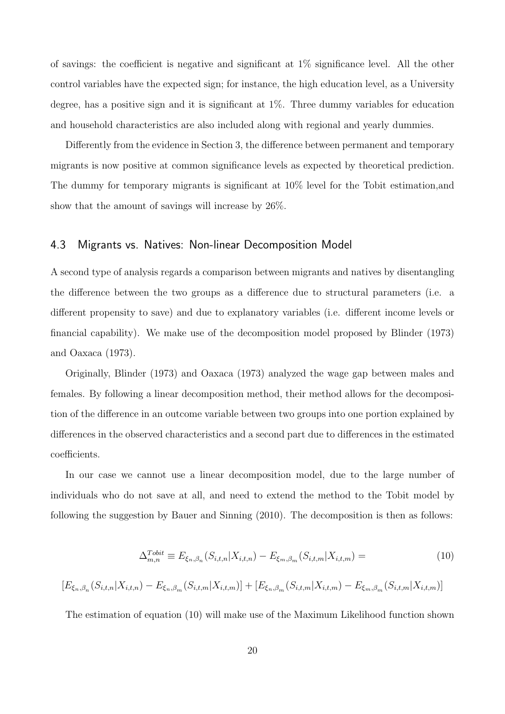of savings: the coefficient is negative and significant at 1% significance level. All the other control variables have the expected sign; for instance, the high education level, as a University degree, has a positive sign and it is significant at 1%. Three dummy variables for education and household characteristics are also included along with regional and yearly dummies.

Differently from the evidence in Section 3, the difference between permanent and temporary migrants is now positive at common significance levels as expected by theoretical prediction. The dummy for temporary migrants is significant at 10% level for the Tobit estimation,and show that the amount of savings will increase by 26%.

#### 4.3 Migrants vs. Natives: Non-linear Decomposition Model

A second type of analysis regards a comparison between migrants and natives by disentangling the difference between the two groups as a difference due to structural parameters (i.e. a different propensity to save) and due to explanatory variables (i.e. different income levels or financial capability). We make use of the decomposition model proposed by Blinder (1973) and Oaxaca (1973).

Originally, Blinder (1973) and Oaxaca (1973) analyzed the wage gap between males and females. By following a linear decomposition method, their method allows for the decomposition of the difference in an outcome variable between two groups into one portion explained by differences in the observed characteristics and a second part due to differences in the estimated coefficients.

In our case we cannot use a linear decomposition model, due to the large number of individuals who do not save at all, and need to extend the method to the Tobit model by following the suggestion by Bauer and Sinning (2010). The decomposition is then as follows:

$$
\Delta_{m,n}^{Tobit} \equiv E_{\xi_n,\beta_n}(S_{i,t,n}|X_{i,t,n}) - E_{\xi_m,\beta_m}(S_{i,t,m}|X_{i,t,m}) =
$$
\n
$$
[E_{\xi_n,\beta_n}(S_{i,t,n}|X_{i,t,n}) - E_{\xi_n,\beta_m}(S_{i,t,m}|X_{i,t,m})] + [E_{\xi_n,\beta_m}(S_{i,t,m}|X_{i,t,m}) - E_{\xi_m,\beta_m}(S_{i,t,m}|X_{i,t,m})]
$$
\n(10)

The estimation of equation (10) will make use of the Maximum Likelihood function shown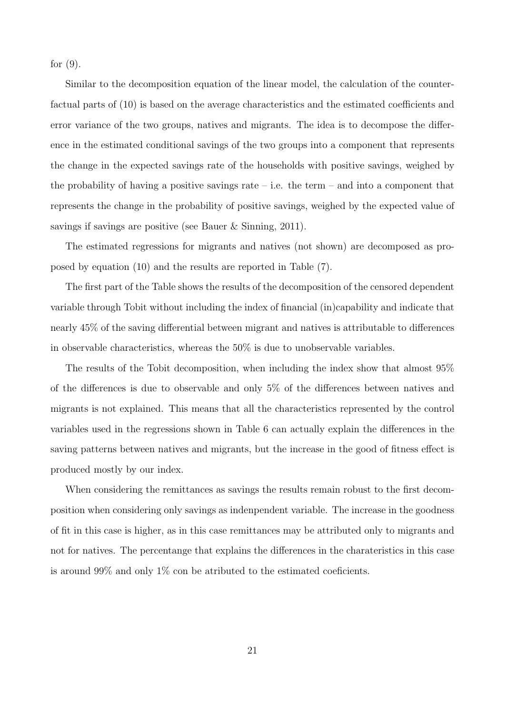for  $(9)$ .

Similar to the decomposition equation of the linear model, the calculation of the counterfactual parts of (10) is based on the average characteristics and the estimated coefficients and error variance of the two groups, natives and migrants. The idea is to decompose the difference in the estimated conditional savings of the two groups into a component that represents the change in the expected savings rate of the households with positive savings, weighed by the probability of having a positive savings rate – i.e. the term – and into a component that represents the change in the probability of positive savings, weighed by the expected value of savings if savings are positive (see Bauer & Sinning, 2011).

The estimated regressions for migrants and natives (not shown) are decomposed as proposed by equation (10) and the results are reported in Table (7).

The first part of the Table shows the results of the decomposition of the censored dependent variable through Tobit without including the index of financial (in)capability and indicate that nearly 45% of the saving differential between migrant and natives is attributable to differences in observable characteristics, whereas the 50% is due to unobservable variables.

The results of the Tobit decomposition, when including the index show that almost 95% of the differences is due to observable and only 5% of the differences between natives and migrants is not explained. This means that all the characteristics represented by the control variables used in the regressions shown in Table 6 can actually explain the differences in the saving patterns between natives and migrants, but the increase in the good of fitness effect is produced mostly by our index.

When considering the remittances as savings the results remain robust to the first decomposition when considering only savings as indenpendent variable. The increase in the goodness of fit in this case is higher, as in this case remittances may be attributed only to migrants and not for natives. The percentange that explains the differences in the charateristics in this case is around 99% and only 1% con be atributed to the estimated coeficients.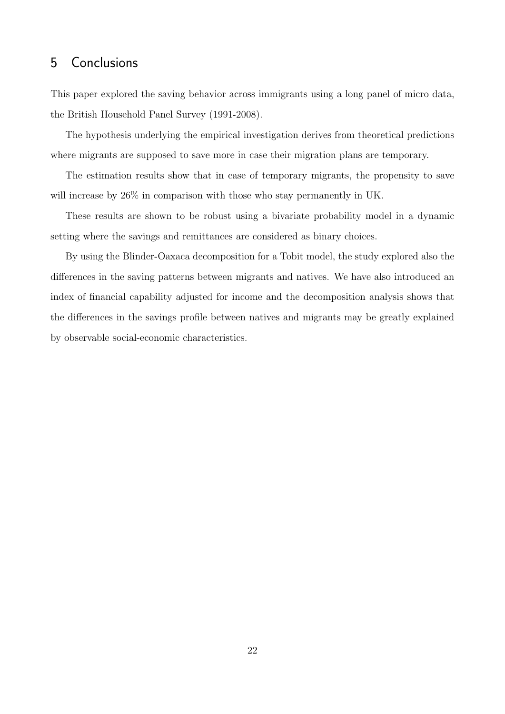## 5 Conclusions

This paper explored the saving behavior across immigrants using a long panel of micro data, the British Household Panel Survey (1991-2008).

The hypothesis underlying the empirical investigation derives from theoretical predictions where migrants are supposed to save more in case their migration plans are temporary.

The estimation results show that in case of temporary migrants, the propensity to save will increase by  $26\%$  in comparison with those who stay permanently in UK.

These results are shown to be robust using a bivariate probability model in a dynamic setting where the savings and remittances are considered as binary choices.

By using the Blinder-Oaxaca decomposition for a Tobit model, the study explored also the differences in the saving patterns between migrants and natives. We have also introduced an index of financial capability adjusted for income and the decomposition analysis shows that the differences in the savings profile between natives and migrants may be greatly explained by observable social-economic characteristics.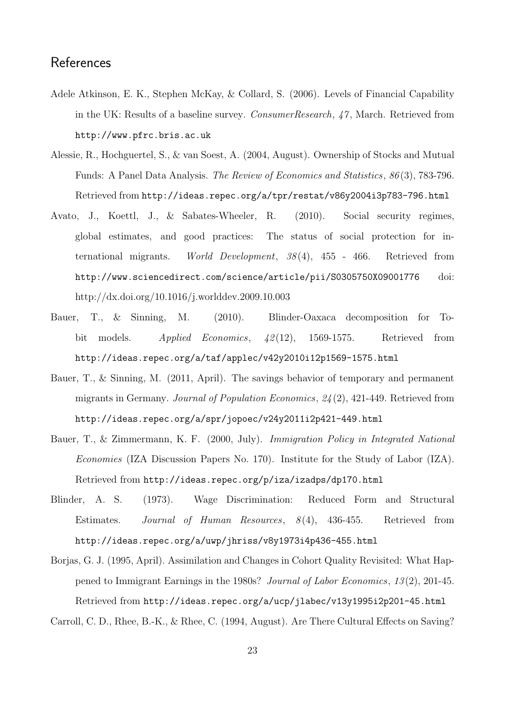## **References**

- Adele Atkinson, E. K., Stephen McKay, & Collard, S. (2006). Levels of Financial Capability in the UK: Results of a baseline survey. *ConsumerResearch*, 47, March. Retrieved from http://www.pfrc.bris.ac.uk
- Alessie, R., Hochguertel, S., & van Soest, A. (2004, August). Ownership of Stocks and Mutual Funds: A Panel Data Analysis. The Review of Economics and Statistics, 86 (3), 783-796. Retrieved from http://ideas.repec.org/a/tpr/restat/v86y2004i3p783-796.html
- Avato, J., Koettl, J., & Sabates-Wheeler, R. (2010). Social security regimes, global estimates, and good practices: The status of social protection for international migrants. World Development,  $38(4)$ ,  $455$  - 466. Retrieved from http://www.sciencedirect.com/science/article/pii/S0305750X09001776 doi: http://dx.doi.org/10.1016/j.worlddev.2009.10.003
- Bauer, T., & Sinning, M. (2010). Blinder-Oaxaca decomposition for Tobit models. Applied Economics, 42 (12), 1569-1575. Retrieved from http://ideas.repec.org/a/taf/applec/v42y2010i12p1569-1575.html
- Bauer, T., & Sinning, M. (2011, April). The savings behavior of temporary and permanent migrants in Germany. Journal of Population Economics, 24 (2), 421-449. Retrieved from http://ideas.repec.org/a/spr/jopoec/v24y2011i2p421-449.html
- Bauer, T., & Zimmermann, K. F. (2000, July). Immigration Policy in Integrated National Economies (IZA Discussion Papers No. 170). Institute for the Study of Labor (IZA). Retrieved from http://ideas.repec.org/p/iza/izadps/dp170.html
- Blinder, A. S. (1973). Wage Discrimination: Reduced Form and Structural Estimates. Journal of Human Resources, 8(4), 436-455. Retrieved from http://ideas.repec.org/a/uwp/jhriss/v8y1973i4p436-455.html
- Borjas, G. J. (1995, April). Assimilation and Changes in Cohort Quality Revisited: What Happened to Immigrant Earnings in the 1980s? Journal of Labor Economics, 13 (2), 201-45. Retrieved from http://ideas.repec.org/a/ucp/jlabec/v13y1995i2p201-45.html

Carroll, C. D., Rhee, B.-K., & Rhee, C. (1994, August). Are There Cultural Effects on Saving?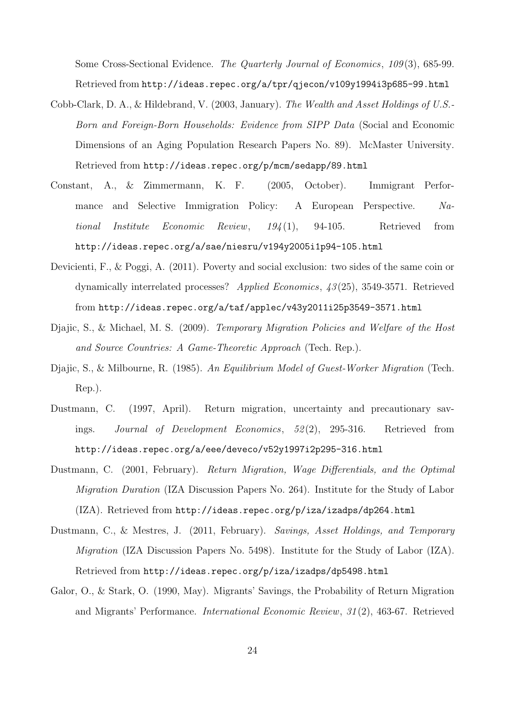Some Cross-Sectional Evidence. The Quarterly Journal of Economics, 109(3), 685-99. Retrieved from http://ideas.repec.org/a/tpr/qjecon/v109y1994i3p685-99.html

- Cobb-Clark, D. A., & Hildebrand, V. (2003, January). The Wealth and Asset Holdings of U.S.- Born and Foreign-Born Households: Evidence from SIPP Data (Social and Economic Dimensions of an Aging Population Research Papers No. 89). McMaster University. Retrieved from http://ideas.repec.org/p/mcm/sedapp/89.html
- Constant, A., & Zimmermann, K. F. (2005, October). Immigrant Performance and Selective Immigration Policy: A European Perspective. National Institute Economic Review,  $194(1)$ , 94-105. Retrieved from http://ideas.repec.org/a/sae/niesru/v194y2005i1p94-105.html
- Devicienti, F., & Poggi, A. (2011). Poverty and social exclusion: two sides of the same coin or dynamically interrelated processes? Applied Economics, 43 (25), 3549-3571. Retrieved from http://ideas.repec.org/a/taf/applec/v43y2011i25p3549-3571.html
- Djajic, S., & Michael, M. S. (2009). Temporary Migration Policies and Welfare of the Host and Source Countries: A Game-Theoretic Approach (Tech. Rep.).
- Diajic, S., & Milbourne, R. (1985). An Equilibrium Model of Guest-Worker Migration (Tech. Rep.).
- Dustmann, C. (1997, April). Return migration, uncertainty and precautionary savings. Journal of Development Economics, 52 (2), 295-316. Retrieved from http://ideas.repec.org/a/eee/deveco/v52y1997i2p295-316.html
- Dustmann, C. (2001, February). Return Migration, Wage Differentials, and the Optimal Migration Duration (IZA Discussion Papers No. 264). Institute for the Study of Labor (IZA). Retrieved from http://ideas.repec.org/p/iza/izadps/dp264.html
- Dustmann, C., & Mestres, J. (2011, February). Savings, Asset Holdings, and Temporary Migration (IZA Discussion Papers No. 5498). Institute for the Study of Labor (IZA). Retrieved from http://ideas.repec.org/p/iza/izadps/dp5498.html
- Galor, O., & Stark, O. (1990, May). Migrants' Savings, the Probability of Return Migration and Migrants' Performance. International Economic Review, 31 (2), 463-67. Retrieved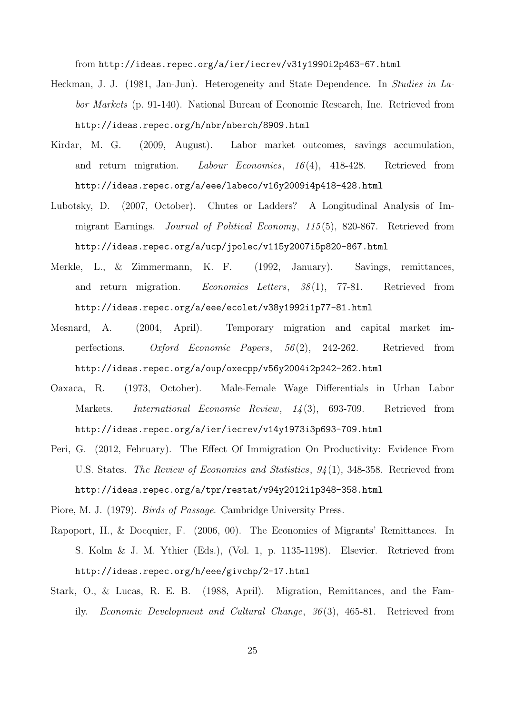from http://ideas.repec.org/a/ier/iecrev/v31y1990i2p463-67.html

- Heckman, J. J. (1981, Jan-Jun). Heterogeneity and State Dependence. In Studies in Labor Markets (p. 91-140). National Bureau of Economic Research, Inc. Retrieved from http://ideas.repec.org/h/nbr/nberch/8909.html
- Kirdar, M. G. (2009, August). Labor market outcomes, savings accumulation, and return migration. Labour Economics, 16(4), 418-428. Retrieved from http://ideas.repec.org/a/eee/labeco/v16y2009i4p418-428.html
- Lubotsky, D. (2007, October). Chutes or Ladders? A Longitudinal Analysis of Immigrant Earnings. Journal of Political Economy, 115 (5), 820-867. Retrieved from http://ideas.repec.org/a/ucp/jpolec/v115y2007i5p820-867.html
- Merkle, L., & Zimmermann, K. F. (1992, January). Savings, remittances, and return migration. *Economics Letters*, 38(1), 77-81. Retrieved from http://ideas.repec.org/a/eee/ecolet/v38y1992i1p77-81.html
- Mesnard, A. (2004, April). Temporary migration and capital market imperfections. Oxford Economic Papers, 56 (2), 242-262. Retrieved from http://ideas.repec.org/a/oup/oxecpp/v56y2004i2p242-262.html
- Oaxaca, R. (1973, October). Male-Female Wage Differentials in Urban Labor Markets. International Economic Review, 14 (3), 693-709. Retrieved from http://ideas.repec.org/a/ier/iecrev/v14y1973i3p693-709.html
- Peri, G. (2012, February). The Effect Of Immigration On Productivity: Evidence From U.S. States. The Review of Economics and Statistics, 94 (1), 348-358. Retrieved from http://ideas.repec.org/a/tpr/restat/v94y2012i1p348-358.html

Piore, M. J. (1979). Birds of Passage. Cambridge University Press.

- Rapoport, H., & Docquier, F. (2006, 00). The Economics of Migrants' Remittances. In S. Kolm & J. M. Ythier (Eds.), (Vol. 1, p. 1135-1198). Elsevier. Retrieved from http://ideas.repec.org/h/eee/givchp/2-17.html
- Stark, O., & Lucas, R. E. B. (1988, April). Migration, Remittances, and the Family. Economic Development and Cultural Change, 36 (3), 465-81. Retrieved from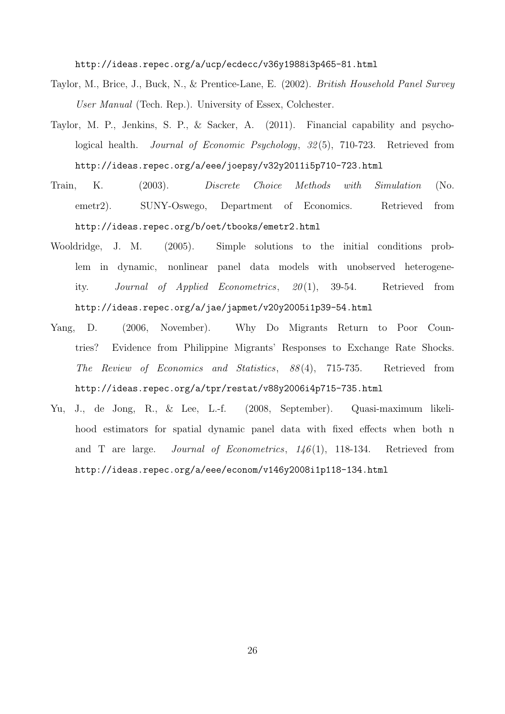http://ideas.repec.org/a/ucp/ecdecc/v36y1988i3p465-81.html

- Taylor, M., Brice, J., Buck, N., & Prentice-Lane, E. (2002). British Household Panel Survey User Manual (Tech. Rep.). University of Essex, Colchester.
- Taylor, M. P., Jenkins, S. P., & Sacker, A. (2011). Financial capability and psychological health. Journal of Economic Psychology, 32(5), 710-723. Retrieved from http://ideas.repec.org/a/eee/joepsy/v32y2011i5p710-723.html
- Train, K. (2003). Discrete Choice Methods with Simulation (No. emetr2). SUNY-Oswego, Department of Economics. Retrieved from http://ideas.repec.org/b/oet/tbooks/emetr2.html
- Wooldridge, J. M. (2005). Simple solutions to the initial conditions problem in dynamic, nonlinear panel data models with unobserved heterogeneity. Journal of Applied Econometrics, 20 (1), 39-54. Retrieved from http://ideas.repec.org/a/jae/japmet/v20y2005i1p39-54.html
- Yang, D. (2006, November). Why Do Migrants Return to Poor Countries? Evidence from Philippine Migrants' Responses to Exchange Rate Shocks. The Review of Economics and Statistics, 88 (4), 715-735. Retrieved from http://ideas.repec.org/a/tpr/restat/v88y2006i4p715-735.html
- Yu, J., de Jong, R., & Lee, L.-f. (2008, September). Quasi-maximum likelihood estimators for spatial dynamic panel data with fixed effects when both n and T are large. *Journal of Econometrics*,  $146(1)$ , 118-134. Retrieved from http://ideas.repec.org/a/eee/econom/v146y2008i1p118-134.html

26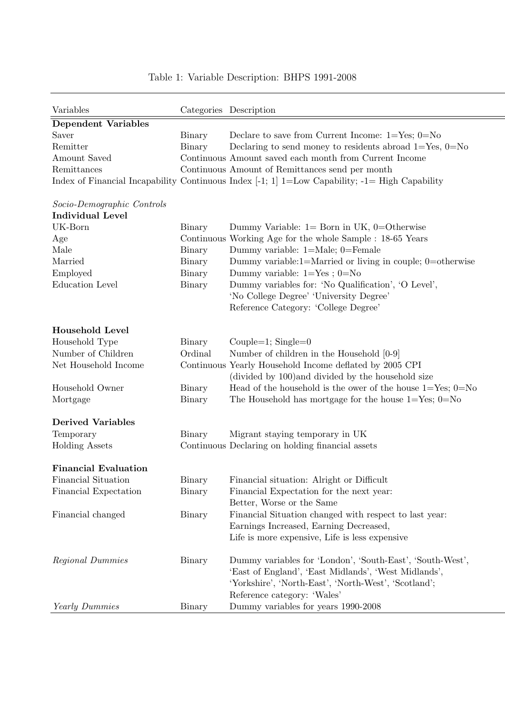| Variables                   |         | Categories Description                                                                           |
|-----------------------------|---------|--------------------------------------------------------------------------------------------------|
| <b>Dependent Variables</b>  |         |                                                                                                  |
| Saver                       | Binary  | Declare to save from Current Income: $1 = Yes$ ; $0 = No$                                        |
| Remitter                    | Binary  | Declaring to send money to residents abroad $1 = Yes$ , $0 = No$                                 |
| Amount Saved                |         | Continuous Amount saved each month from Current Income                                           |
| Remittances                 |         | Continuous Amount of Remittances send per month                                                  |
|                             |         | Index of Financial Incapability Continuous Index [-1; 1] 1=Low Capability; $-1=$ High Capability |
|                             |         |                                                                                                  |
| Socio-Demographic Controls  |         |                                                                                                  |
| <b>Individual Level</b>     |         |                                                                                                  |
| UK-Born                     | Binary  | Dummy Variable: $1 = Born$ in UK, $0=Otherwise$                                                  |
| Age                         |         | Continuous Working Age for the whole Sample : 18-65 Years                                        |
| Male                        | Binary  | Dummy variable: $1=$ Male; $0=$ Female                                                           |
| Married                     | Binary  | Dummy variable: $1 =$ Married or living in couple; $0 =$ otherwise                               |
| Employed                    | Binary  | Dummy variable: $1 = Yes$ ; $0 = No$                                                             |
| <b>Education Level</b>      | Binary  | Dummy variables for: 'No Qualification', 'O Level',                                              |
|                             |         | 'No College Degree' 'University Degree'                                                          |
|                             |         | Reference Category: 'College Degree'                                                             |
|                             |         |                                                                                                  |
| <b>Household Level</b>      |         |                                                                                                  |
| Household Type              | Binary  | Couple=1; $Single=0$                                                                             |
| Number of Children          | Ordinal | Number of children in the Household $[0-9]$                                                      |
| Net Household Income        |         | Continuous Yearly Household Income deflated by 2005 CPI                                          |
|                             |         | (divided by 100) and divided by the household size                                               |
| Household Owner             | Binary  | Head of the household is the ower of the house $1 = Yes; 0 = No$                                 |
| Mortgage                    | Binary  | The Household has mortgage for the house $1 = Yes$ ; $0 = No$                                    |
| <b>Derived Variables</b>    |         |                                                                                                  |
| Temporary                   | Binary  | Migrant staying temporary in UK                                                                  |
| <b>Holding Assets</b>       |         | Continuous Declaring on holding financial assets                                                 |
|                             |         |                                                                                                  |
| <b>Financial Evaluation</b> |         |                                                                                                  |
| Financial Situation         | Binary  | Financial situation: Alright or Difficult                                                        |
| Financial Expectation       | Binary  | Financial Expectation for the next year:                                                         |
|                             |         | Better, Worse or the Same                                                                        |
| Financial changed           | Binary  | Financial Situation changed with respect to last year:                                           |
|                             |         | Earnings Increased, Earning Decreased,                                                           |
|                             |         | Life is more expensive, Life is less expensive                                                   |
| Regional Dummies            | Binary  | Dummy variables for 'London', 'South-East', 'South-West',                                        |
|                             |         | 'East of England', 'East Midlands', 'West Midlands',                                             |
|                             |         | 'Yorkshire', 'North-East', 'North-West', 'Scotland';                                             |
|                             |         | Reference category: 'Wales'                                                                      |
| Yearly Dummies              | Binary  | Dummy variables for years 1990-2008                                                              |

### Table 1: Variable Description: BHPS 1991-2008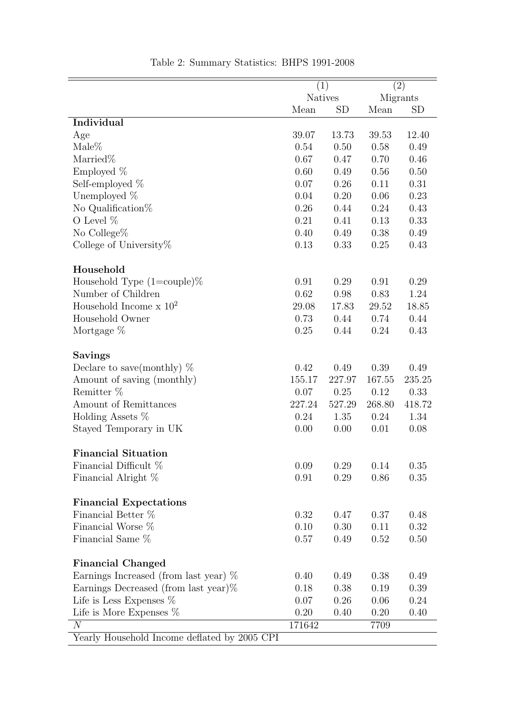|                                                | (1)            |           |        | (2)       |
|------------------------------------------------|----------------|-----------|--------|-----------|
|                                                | <b>Natives</b> |           |        | Migrants  |
|                                                | Mean           | <b>SD</b> | Mean   | <b>SD</b> |
| Individual                                     |                |           |        |           |
| Age                                            | 39.07          | 13.73     | 39.53  | 12.40     |
| $Male\%$                                       | 0.54           | 0.50      | 0.58   | 0.49      |
| Married%                                       | 0.67           | 0.47      | 0.70   | 0.46      |
| Employed $%$                                   | 0.60           | 0.49      | 0.56   | 0.50      |
| Self-employed $%$                              | 0.07           | 0.26      | 0.11   | 0.31      |
| Unemployed %                                   | 0.04           | 0.20      | 0.06   | 0.23      |
| No Qualification%                              | 0.26           | 0.44      | 0.24   | 0.43      |
| O Level $%$                                    | 0.21           | 0.41      | 0.13   | 0.33      |
| No College%                                    | 0.40           | 0.49      | 0.38   | 0.49      |
| College of University $%$                      | 0.13           | 0.33      | 0.25   | 0.43      |
| Household                                      |                |           |        |           |
| Household Type $(1=$ couple $)\%$              | 0.91           | 0.29      | 0.91   | 0.29      |
| Number of Children                             | 0.62           | 0.98      | 0.83   | 1.24      |
| Household Income $\times 10^2$                 | 29.08          | 17.83     | 29.52  | 18.85     |
| Household Owner                                | 0.73           | 0.44      | 0.74   | 0.44      |
| Mortgage %                                     | 0.25           | 0.44      | 0.24   | 0.43      |
|                                                |                |           |        |           |
| <b>Savings</b><br>Declare to save(monthly) $%$ | 0.42           | 0.49      | 0.39   | 0.49      |
| Amount of saving (monthly)                     | 155.17         | 227.97    | 167.55 | 235.25    |
| Remitter %                                     | 0.07           | 0.25      | 0.12   | 0.33      |
| Amount of Remittances                          | 227.24         | 527.29    | 268.80 | 418.72    |
| Holding Assets %                               | 0.24           | 1.35      | 0.24   | 1.34      |
| Stayed Temporary in UK                         | 0.00           | 0.00      | 0.01   | 0.08      |
| <b>Financial Situation</b>                     |                |           |        |           |
| Financial Difficult %                          | 0.09           | 0.29      | 0.14   | 0.35      |
| Financial Alright %                            | 0.91           | 0.29      | 0.86   | 0.35      |
| <b>Financial Expectations</b>                  |                |           |        |           |
| Financial Better %                             | 0.32           | 0.47      | 0.37   | 0.48      |
| Financial Worse %                              | 0.10           | 0.30      | 0.11   | 0.32      |
| Financial Same %                               | 0.57           | 0.49      | 0.52   | 0.50      |
|                                                |                |           |        |           |
| <b>Financial Changed</b>                       |                |           |        |           |
| Earnings Increased (from last year) $%$        | 0.40           | 0.49      | 0.38   | 0.49      |
| Earnings Decreased (from last year) $%$        | 0.18           | 0.38      | 0.19   | 0.39      |
| Life is Less Expenses $\%$                     | 0.07           | 0.26      | 0.06   | 0.24      |
| Life is More Expenses $%$                      | 0.20           | 0.40      | 0.20   | 0.40      |
| N                                              | 171642         |           | 7709   |           |
| Yearly Household Income deflated by 2005 CPI   |                |           |        |           |

Table 2: Summary Statistics: BHPS 1991-2008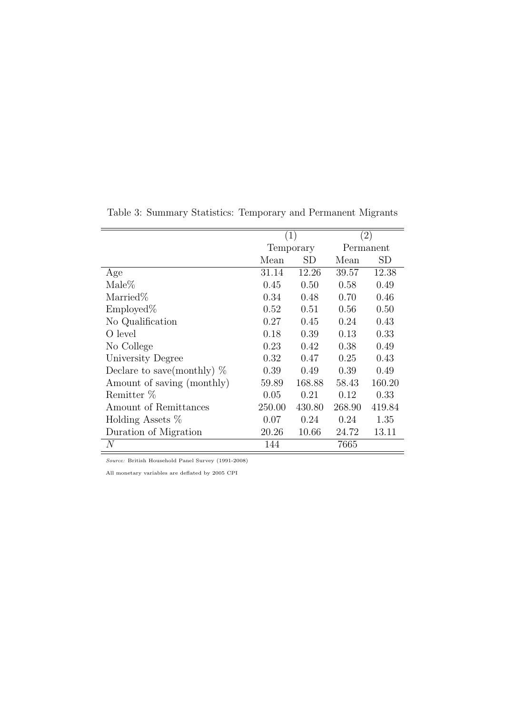|                              |        | (1)       |        | $\left( 2\right)$ |
|------------------------------|--------|-----------|--------|-------------------|
|                              |        | Temporary |        | Permanent         |
|                              | Mean   | SD        | Mean   | <b>SD</b>         |
| Age                          | 31.14  | 12.26     | 39.57  | 12.38             |
| $\text{Male} \%$             | 0.45   | 0.50      | 0.58   | 0.49              |
| Married\%                    | 0.34   | 0.48      | 0.70   | 0.46              |
| $Emploved\%$                 | 0.52   | 0.51      | 0.56   | 0.50              |
| No Qualification             | 0.27   | 0.45      | 0.24   | 0.43              |
| O level                      | 0.18   | 0.39      | 0.13   | 0.33              |
| No College                   | 0.23   | 0.42      | 0.38   | 0.49              |
| University Degree            | 0.32   | 0.47      | 0.25   | 0.43              |
| Declare to save(monthly) $%$ | 0.39   | 0.49      | 0.39   | 0.49              |
| Amount of saving (monthly)   | 59.89  | 168.88    | 58.43  | 160.20            |
| Remitter %                   | 0.05   | 0.21      | 0.12   | 0.33              |
| Amount of Remittances        | 250.00 | 430.80    | 268.90 | 419.84            |
| Holding Assets $%$           | 0.07   | 0.24      | 0.24   | 1.35              |
| Duration of Migration        | 20.26  | 10.66     | 24.72  | 13.11             |
| $\,N$                        | 144    |           | 7665   |                   |

Table 3: Summary Statistics: Temporary and Permanent Migrants

Source: British Household Panel Survey (1991-2008)

All monetary variables are deflated by 2005 CPI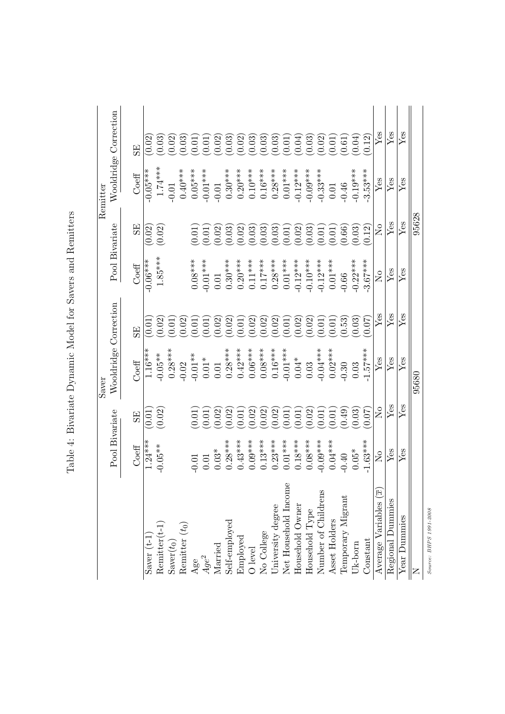|                                                                          |                           |                     | Saver                 |        |                                                                        |                           | Remitter            |                                                                                                                                                                                                                                                                                                                                    |
|--------------------------------------------------------------------------|---------------------------|---------------------|-----------------------|--------|------------------------------------------------------------------------|---------------------------|---------------------|------------------------------------------------------------------------------------------------------------------------------------------------------------------------------------------------------------------------------------------------------------------------------------------------------------------------------------|
|                                                                          | Pool Bivariate            |                     | Wooldridge Correction |        |                                                                        | Pool Bivariate            |                     | Wooldridge Correction                                                                                                                                                                                                                                                                                                              |
|                                                                          | Coeff                     | SE,                 | Coeff                 | 5E)    | Coeff                                                                  | 5E                        | Coeff               |                                                                                                                                                                                                                                                                                                                                    |
|                                                                          | $1.24***$                 | (0.01)              | $1.16***$             | (0.01) | $-0.06***$                                                             | (0.02)                    | $\frac{1}{0.05***}$ | (0.02)                                                                                                                                                                                                                                                                                                                             |
| $\begin{array}{l} \text{Saver (t-1)}\\ \text{Remitter(t-1)} \end{array}$ | $-0.05**$                 | (0.02)              | $-0.05**$             | (0.02) | $1.85***$                                                              | (0.02)                    | $1.74***$           | (0.03)                                                                                                                                                                                                                                                                                                                             |
| $\operatorname{Saver}(t_0)$                                              |                           |                     | $0.28***$             | 0.01   |                                                                        |                           | $-0.01$             | (0.02)                                                                                                                                                                                                                                                                                                                             |
| Remitter $(t_0)$                                                         |                           |                     | $-0.02$               | (0.02) |                                                                        |                           | $0.40***$           | (0.03)                                                                                                                                                                                                                                                                                                                             |
|                                                                          | 0.01                      | (0.01)              | $-0.01**$             | (0.01) | $0.08***$                                                              | 0.01                      | $0.05***$           |                                                                                                                                                                                                                                                                                                                                    |
| $\frac{Age}{Age^2}$                                                      | 0.01                      | (0.01)              | $0.01*$               | (0.01) | $-0.01***$                                                             | 0.01                      | $-0.01***$          | (0.01)                                                                                                                                                                                                                                                                                                                             |
|                                                                          | $0.03^{\ast}$             | (0.02)              | $0.01\,$              | (0.02) | $0.01\,$                                                               | (0.02)                    | $-0.01$             | (0.02)                                                                                                                                                                                                                                                                                                                             |
| Married<br>Self-employed                                                 | $0.28***$                 | (0.02)              | $0.28***$             | (0.02) | $0.30***$                                                              | (0.03)                    | $0.30***$           | (0.03)                                                                                                                                                                                                                                                                                                                             |
|                                                                          | $0.43***$                 | $\left(0.01\right)$ | $0.42***$             | 0.01   | $0.20***$                                                              | (0.02)                    | $0.20***$           |                                                                                                                                                                                                                                                                                                                                    |
| Employed<br>O level<br>No College                                        | $0.09***$                 | (0.02)              | $0.06***$             | (0.02) | $0.11***$                                                              | (0.03)                    | $0.10***$           | $\begin{array}{l} (0.02) \\ (0.03) \\ (0.03) \\ (0.03) \\ (0.01) \\ (0.04) \\ (0.05) \\ (0.03) \\ (0.03) \\ (0.03) \\ (0.03) \\ (0.03) \\ (0.03) \\ (0.03) \\ (0.03) \\ (0.03) \\ (0.03) \\ (0.03) \\ (0.03) \\ (0.03) \\ (0.03) \\ (0.03) \\ (0.03) \\ (0.03) \\ (0.03) \\ (0.03) \\ (0.03) \\ (0.03) \\ (0.03) \\ (0.03) \\ (0.$ |
|                                                                          | $0.13***$                 | (0.02)              | $0.08***$             | 0.02   | $0.17***$                                                              | (0.03)                    | $0.16***$           |                                                                                                                                                                                                                                                                                                                                    |
| Jniversity degree                                                        | $0.23***$                 | 0.02                | $0.16***$             | (0.02) | $0.28***$                                                              | (0.03)                    | $0.28***$           |                                                                                                                                                                                                                                                                                                                                    |
| Net Household Income                                                     | $0.01***$                 | $\left(0.01\right)$ | $-0.01***$            | (0.01) | $0.01***$                                                              | (0.01)                    | $0.01***$           |                                                                                                                                                                                                                                                                                                                                    |
| Household Owner<br>Household Type                                        | $0.18***$                 | (0.01)              | $0.04*$               | (0.02) | $-0.12***$                                                             | (0.02)                    | $-0.12***$          |                                                                                                                                                                                                                                                                                                                                    |
|                                                                          | $0.08***$                 | (0.02)              | 0.03                  | (0.02) | $-0.10***$                                                             | (0.03)                    | $-0.09***$          |                                                                                                                                                                                                                                                                                                                                    |
| Number of Childrens                                                      | $-0.09***$                | (0.01)              | $-0.04***$            | 0.01   | $-0.12***$                                                             | 0.01                      | $-0.33***$          | (0.02)                                                                                                                                                                                                                                                                                                                             |
| Asset Holders                                                            | $0.04***$                 | (0.01)              | $0.02***$             | 0.01   | $0.01***$                                                              | 0.01                      | $0.01\,$            | (0.01)                                                                                                                                                                                                                                                                                                                             |
| <b>Temporary Migrant</b>                                                 | $-0.40$                   | (65.0)              | $-0.30$               | (0.53) | $-0.66$                                                                | 0.66)                     | $-0.46$             | (0.61)                                                                                                                                                                                                                                                                                                                             |
| Uk-born                                                                  | $0.05*$                   | (0.03)              | 0.03                  | (0.03) | $-0.22***$                                                             | (0.03)                    | $-0.19***$          | (0.04)                                                                                                                                                                                                                                                                                                                             |
| Constant                                                                 | $-1.63***$                | 0.07                | $1.57***$             | 0.07   | $3.67***$                                                              | 0.12                      | $3.53***$           | 0.12                                                                                                                                                                                                                                                                                                                               |
| $\widetilde{[x]}$<br>Average Variables                                   | $\mathsf{S}^{\mathsf{O}}$ | $\overline{S}$      | ${\rm Yes}$           | Yes    | $\rm \stackrel{\circ}{\rm \stackrel{\circ}{\rm \scriptscriptstyle M}}$ | $\mathsf{S}^{\mathsf{O}}$ | ${\rm Yes}$         | ${\rm Yes}$                                                                                                                                                                                                                                                                                                                        |
| Regional Dummies                                                         | Yes                       | Yes                 | Yes                   | Yes    | Yes                                                                    | $Y$ es                    | Yes                 | Yes                                                                                                                                                                                                                                                                                                                                |
| Year Dummies                                                             | Yes                       | Yes                 | Yes                   | Yes    | Yes                                                                    | $Y$ es                    | Yes                 | Yes                                                                                                                                                                                                                                                                                                                                |
| Z                                                                        |                           |                     | 95680                 |        |                                                                        | 95628                     |                     |                                                                                                                                                                                                                                                                                                                                    |

Table 4: Bivariate Dynamic Model for Savers and Remitters Table 4: Bivariate Dynamic Model for Savers and Remitters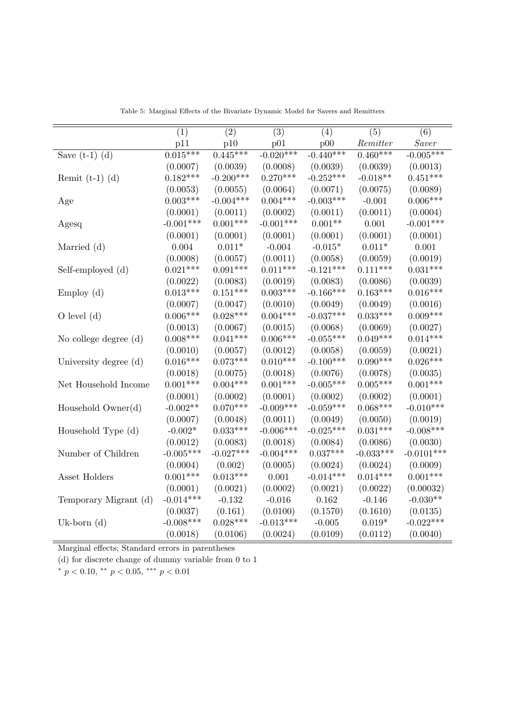|                                                                                                                                                                             |                                                                                                                                                                                    |                                                                                                                                                                 |                                                                                                                                                                |                                                                                                                                                               | $\overline{(5)}$                                                                                                                                                |                                                                                                                                                                                       |
|-----------------------------------------------------------------------------------------------------------------------------------------------------------------------------|------------------------------------------------------------------------------------------------------------------------------------------------------------------------------------|-----------------------------------------------------------------------------------------------------------------------------------------------------------------|----------------------------------------------------------------------------------------------------------------------------------------------------------------|---------------------------------------------------------------------------------------------------------------------------------------------------------------|-----------------------------------------------------------------------------------------------------------------------------------------------------------------|---------------------------------------------------------------------------------------------------------------------------------------------------------------------------------------|
|                                                                                                                                                                             | (1)<br>p11                                                                                                                                                                         | (2)<br>p10                                                                                                                                                      | (3)<br>p01                                                                                                                                                     | (4)<br>p00                                                                                                                                                    | Remitter                                                                                                                                                        | (6)<br>Saver                                                                                                                                                                          |
|                                                                                                                                                                             | $0.015***$                                                                                                                                                                         | $0.445***$                                                                                                                                                      | $-0.020***$                                                                                                                                                    | $-0.440***$                                                                                                                                                   | $0.460***$                                                                                                                                                      | $-0.005***$                                                                                                                                                                           |
| Save $(t-1)$ $(d)$                                                                                                                                                          |                                                                                                                                                                                    |                                                                                                                                                                 |                                                                                                                                                                |                                                                                                                                                               |                                                                                                                                                                 |                                                                                                                                                                                       |
|                                                                                                                                                                             | (0.0007)                                                                                                                                                                           | (0.0039)                                                                                                                                                        | (0.0008)                                                                                                                                                       | (0.0039)                                                                                                                                                      | (0.0039)                                                                                                                                                        | (0.0013)                                                                                                                                                                              |
| Remit $(t-1)$ (d)                                                                                                                                                           | $0.182***$                                                                                                                                                                         | $-0.200***$                                                                                                                                                     | $0.270***$                                                                                                                                                     | $-0.252***$                                                                                                                                                   | $-0.018**$                                                                                                                                                      | $0.451***$                                                                                                                                                                            |
|                                                                                                                                                                             | (0.0053)                                                                                                                                                                           | (0.0055)                                                                                                                                                        | (0.0064)                                                                                                                                                       | (0.0071)                                                                                                                                                      | (0.0075)                                                                                                                                                        | (0.0089)                                                                                                                                                                              |
| Age                                                                                                                                                                         | $0.003***$                                                                                                                                                                         | $-0.004***$                                                                                                                                                     | $0.004***$                                                                                                                                                     | $-0.003***$                                                                                                                                                   | $-0.001$                                                                                                                                                        | $0.006***$                                                                                                                                                                            |
|                                                                                                                                                                             | (0.0001)                                                                                                                                                                           | (0.0011)                                                                                                                                                        | (0.0002)                                                                                                                                                       | (0.0011)                                                                                                                                                      | (0.0011)                                                                                                                                                        | (0.0004)                                                                                                                                                                              |
| Agesq                                                                                                                                                                       | $-0.001***$                                                                                                                                                                        | $0.001***$                                                                                                                                                      | $-0.001***$                                                                                                                                                    | $0.001**$                                                                                                                                                     | 0.001                                                                                                                                                           | $-0.001***$                                                                                                                                                                           |
|                                                                                                                                                                             | (0.0001)                                                                                                                                                                           | (0.0001)                                                                                                                                                        | (0.0001)                                                                                                                                                       | (0.0001)                                                                                                                                                      | (0.0001)                                                                                                                                                        | (0.0001)                                                                                                                                                                              |
| Married (d)                                                                                                                                                                 | 0.004                                                                                                                                                                              | $0.011*$                                                                                                                                                        | $-0.004$                                                                                                                                                       | $-0.015*$                                                                                                                                                     | $0.011*$                                                                                                                                                        | 0.001                                                                                                                                                                                 |
|                                                                                                                                                                             | (0.0008)                                                                                                                                                                           | (0.0057)                                                                                                                                                        | (0.0011)                                                                                                                                                       | (0.0058)                                                                                                                                                      | (0.0059)                                                                                                                                                        | (0.0019)                                                                                                                                                                              |
| Self-employed (d)                                                                                                                                                           | $0.021***$                                                                                                                                                                         | $0.091***$                                                                                                                                                      | $0.011***$                                                                                                                                                     | $-0.121***$                                                                                                                                                   | $0.111***$                                                                                                                                                      | $0.031***$                                                                                                                                                                            |
|                                                                                                                                                                             | (0.0022)                                                                                                                                                                           | (0.0083)                                                                                                                                                        | (0.0019)                                                                                                                                                       | (0.0083)                                                                                                                                                      | (0.0086)                                                                                                                                                        | (0.0039)                                                                                                                                                                              |
| Employ(d)                                                                                                                                                                   | $0.013***$                                                                                                                                                                         | $0.151***$                                                                                                                                                      | $0.003***$                                                                                                                                                     | $-0.166***$                                                                                                                                                   | $0.163***$                                                                                                                                                      |                                                                                                                                                                                       |
|                                                                                                                                                                             | (0.0007)                                                                                                                                                                           | (0.0047)                                                                                                                                                        | (0.0010)                                                                                                                                                       | (0.0049)                                                                                                                                                      | (0.0049)                                                                                                                                                        | (0.0016)                                                                                                                                                                              |
| $O$ level $(d)$                                                                                                                                                             | $0.006***$                                                                                                                                                                         | $0.028***$                                                                                                                                                      | $0.004***$                                                                                                                                                     | $-0.037***$                                                                                                                                                   | $0.033***$                                                                                                                                                      | $0.009***$                                                                                                                                                                            |
|                                                                                                                                                                             | (0.0013)                                                                                                                                                                           | (0.0067)                                                                                                                                                        | (0.0015)                                                                                                                                                       | (0.0068)                                                                                                                                                      | (0.0069)                                                                                                                                                        | (0.0027)                                                                                                                                                                              |
|                                                                                                                                                                             | $0.008***$                                                                                                                                                                         | $0.041***$                                                                                                                                                      | $0.006***$                                                                                                                                                     | $-0.055***$                                                                                                                                                   | $0.049***$                                                                                                                                                      | $0.014***$                                                                                                                                                                            |
|                                                                                                                                                                             | (0.0010)                                                                                                                                                                           | (0.0057)                                                                                                                                                        | (0.0012)                                                                                                                                                       | (0.0058)                                                                                                                                                      | (0.0059)                                                                                                                                                        | (0.0021)                                                                                                                                                                              |
|                                                                                                                                                                             | $0.016***$                                                                                                                                                                         | $0.073***$                                                                                                                                                      | $0.010***$                                                                                                                                                     | $-0.100***$                                                                                                                                                   | $0.090***$                                                                                                                                                      | $0.026***$                                                                                                                                                                            |
|                                                                                                                                                                             |                                                                                                                                                                                    |                                                                                                                                                                 |                                                                                                                                                                |                                                                                                                                                               |                                                                                                                                                                 |                                                                                                                                                                                       |
| Net Household Income                                                                                                                                                        | $0.001***$                                                                                                                                                                         | $0.004***$                                                                                                                                                      | $0.001***$                                                                                                                                                     | $-0.005***$                                                                                                                                                   | $0.005***$                                                                                                                                                      | $0.001***$                                                                                                                                                                            |
|                                                                                                                                                                             |                                                                                                                                                                                    |                                                                                                                                                                 |                                                                                                                                                                |                                                                                                                                                               |                                                                                                                                                                 |                                                                                                                                                                                       |
|                                                                                                                                                                             |                                                                                                                                                                                    | $0.070***$                                                                                                                                                      | $-0.009***$                                                                                                                                                    | $-0.059***$                                                                                                                                                   | $0.068***$                                                                                                                                                      | $-0.010***$                                                                                                                                                                           |
|                                                                                                                                                                             |                                                                                                                                                                                    |                                                                                                                                                                 |                                                                                                                                                                |                                                                                                                                                               |                                                                                                                                                                 |                                                                                                                                                                                       |
|                                                                                                                                                                             |                                                                                                                                                                                    |                                                                                                                                                                 |                                                                                                                                                                |                                                                                                                                                               |                                                                                                                                                                 |                                                                                                                                                                                       |
|                                                                                                                                                                             |                                                                                                                                                                                    |                                                                                                                                                                 |                                                                                                                                                                |                                                                                                                                                               |                                                                                                                                                                 |                                                                                                                                                                                       |
|                                                                                                                                                                             |                                                                                                                                                                                    |                                                                                                                                                                 |                                                                                                                                                                |                                                                                                                                                               |                                                                                                                                                                 |                                                                                                                                                                                       |
|                                                                                                                                                                             |                                                                                                                                                                                    |                                                                                                                                                                 |                                                                                                                                                                |                                                                                                                                                               |                                                                                                                                                                 |                                                                                                                                                                                       |
|                                                                                                                                                                             |                                                                                                                                                                                    |                                                                                                                                                                 |                                                                                                                                                                |                                                                                                                                                               |                                                                                                                                                                 |                                                                                                                                                                                       |
|                                                                                                                                                                             |                                                                                                                                                                                    |                                                                                                                                                                 |                                                                                                                                                                |                                                                                                                                                               |                                                                                                                                                                 |                                                                                                                                                                                       |
|                                                                                                                                                                             |                                                                                                                                                                                    |                                                                                                                                                                 |                                                                                                                                                                |                                                                                                                                                               |                                                                                                                                                                 |                                                                                                                                                                                       |
|                                                                                                                                                                             |                                                                                                                                                                                    |                                                                                                                                                                 |                                                                                                                                                                |                                                                                                                                                               |                                                                                                                                                                 |                                                                                                                                                                                       |
|                                                                                                                                                                             |                                                                                                                                                                                    |                                                                                                                                                                 |                                                                                                                                                                |                                                                                                                                                               |                                                                                                                                                                 |                                                                                                                                                                                       |
|                                                                                                                                                                             |                                                                                                                                                                                    |                                                                                                                                                                 |                                                                                                                                                                |                                                                                                                                                               |                                                                                                                                                                 |                                                                                                                                                                                       |
| No college degree (d)<br>University degree (d)<br>Household Owner(d)<br>Household Type (d)<br>Number of Children<br>Asset Holders<br>Temporary Migrant (d)<br>Uk-born $(d)$ | (0.0018)<br>(0.0001)<br>$-0.002**$<br>(0.0007)<br>$-0.002*$<br>(0.0012)<br>$-0.005***$<br>(0.0004)<br>$0.001***$<br>(0.0001)<br>$-0.014***$<br>(0.0037)<br>$-0.008***$<br>(0.0018) | (0.0075)<br>(0.0002)<br>(0.0048)<br>$0.033***$<br>(0.0083)<br>$-0.027***$<br>(0.002)<br>$0.013***$<br>(0.0021)<br>$-0.132$<br>(0.161)<br>$0.028***$<br>(0.0106) | (0.0018)<br>(0.0001)<br>(0.0011)<br>$-0.006***$<br>(0.0018)<br>$-0.004***$<br>(0.0005)<br>0.001<br>(0.0002)<br>$-0.016$<br>(0.0100)<br>$-0.013***$<br>(0.0024) | (0.0076)<br>(0.0002)<br>(0.0049)<br>$-0.025***$<br>(0.0084)<br>$0.037***$<br>(0.0024)<br>$-0.014***$<br>(0.0021)<br>0.162<br>(0.1570)<br>$-0.005$<br>(0.0109) | (0.0078)<br>(0.0002)<br>(0.0050)<br>$0.031***$<br>(0.0086)<br>$-0.033***$<br>(0.0024)<br>$0.014***$<br>(0.0022)<br>$-0.146$<br>(0.1610)<br>$0.019*$<br>(0.0112) | $0.016***$<br>(0.0035)<br>(0.0001)<br>(0.0019)<br>$-0.008***$<br>(0.0030)<br>$-0.0101***$<br>(0.0009)<br>$0.001***$<br>(0.00032)<br>$-0.030**$<br>(0.0135)<br>$-0.022***$<br>(0.0040) |

Table 5: Marginal Effects of the Bivariate Dynamic Model for Savers and Remitters

Marginal effects; Standard errors in parentheses

(d) for discrete change of dummy variable from 0 to 1

 $\stackrel{*}{\rightarrow} p < 0.10, \stackrel{*}{\rightarrow} p < 0.05, \stackrel{*}{\rightarrow} p < 0.01$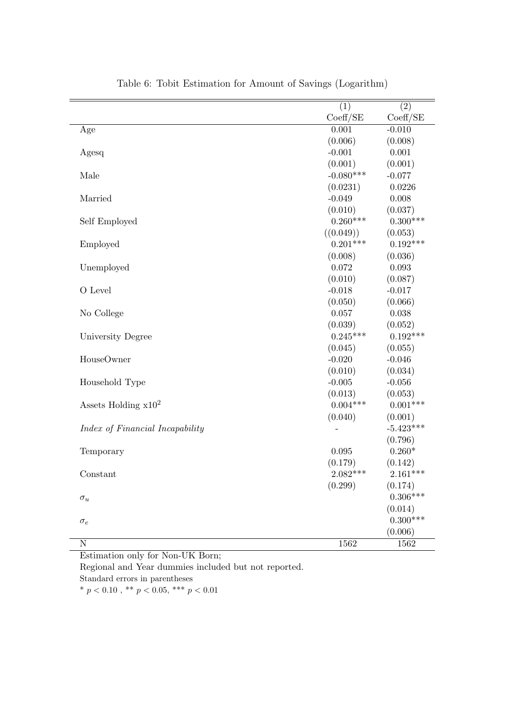|                                 | (1)         | (2)         |
|---------------------------------|-------------|-------------|
|                                 | Coeff/SE    | Coeff/SE    |
| Age                             | 0.001       | $-0.010$    |
|                                 | (0.006)     | (0.008)     |
| Agesq                           | $-0.001$    | 0.001       |
|                                 | (0.001)     | (0.001)     |
| Male                            | $-0.080***$ | $-0.077$    |
|                                 | (0.0231)    | 0.0226      |
| Married                         | $-0.049$    | 0.008       |
|                                 | (0.010)     | (0.037)     |
| Self Employed                   | $0.260***$  | $0.300***$  |
|                                 | ((0.049))   | (0.053)     |
| Employed                        | $0.201***$  | $0.192***$  |
|                                 | (0.008)     | (0.036)     |
| Unemployed                      | 0.072       | 0.093       |
|                                 | (0.010)     | (0.087)     |
| O Level                         | $-0.018$    | $-0.017$    |
|                                 | (0.050)     | (0.066)     |
| No College                      | 0.057       | 0.038       |
|                                 | (0.039)     | (0.052)     |
| University Degree               | $0.245***$  | $0.192***$  |
|                                 | (0.045)     | (0.055)     |
| HouseOwner                      | $-0.020$    | $-0.046$    |
|                                 | (0.010)     | (0.034)     |
| Household Type                  | $-0.005$    | $-0.056$    |
|                                 | (0.013)     | (0.053)     |
| Assets Holding $x10^2$          | $0.004***$  | $0.001***$  |
|                                 | (0.040)     | (0.001)     |
| Index of Financial Incapability |             | $-5.423***$ |
|                                 |             | (0.796)     |
| Temporary                       | $\,0.095\,$ | $0.260*$    |
|                                 | (0.179)     | (0.142)     |
| Constant                        | $2.082***$  | $2.161***$  |
|                                 | (0.299)     | (0.174)     |
| $\sigma_u$                      |             | $0.306***$  |
|                                 |             | (0.014)     |
| $\sigma_e$                      |             | $0.300***$  |
|                                 |             | (0.006)     |
| ${\bf N}$                       | 1562        | 1562        |

Table 6: Tobit Estimation for Amount of Savings (Logarithm)

Estimation only for Non-UK Born;

Regional and Year dummies included but not reported. Standard errors in parentheses

 $*$   $p$   $<$   $0.10$  ,  $^{**}$   $p$   $<$   $0.05,$   $^{***}$   $p$   $<$   $0.01$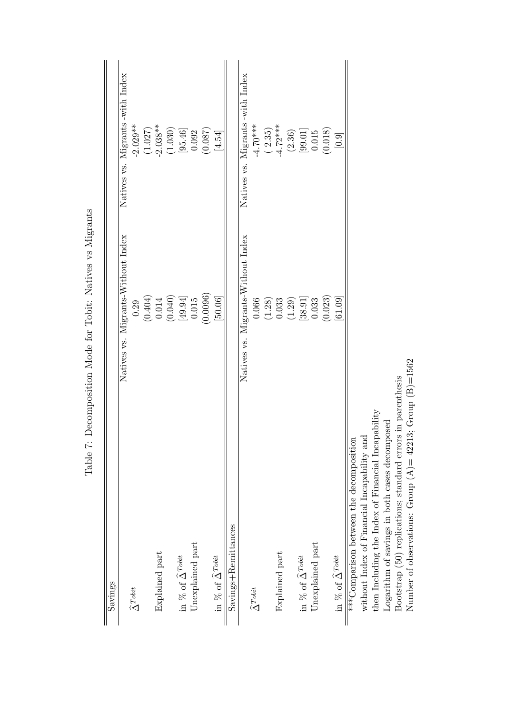| Savings                                                          |                                                         |                                                |
|------------------------------------------------------------------|---------------------------------------------------------|------------------------------------------------|
|                                                                  | Natives vs. Migrants-Without Index                      | Migrants -with Index<br>Natives vs.            |
| $\widehat{\Delta}^{Tobit}$                                       |                                                         |                                                |
|                                                                  | $\begin{array}{c} 0.29 \\ (0.404) \\ 0.014 \end{array}$ | $-2.029**$<br>(1.027)<br>-2.038**              |
| Explained part                                                   |                                                         |                                                |
|                                                                  | (0.040)                                                 | (1.030)                                        |
| in % of $\widehat{\Delta}^{Tobit}$                               |                                                         |                                                |
| Unexplained part                                                 | $\left[49.94\right]$ $\left[0.015\right]$               | $\begin{bmatrix} 95.46 \\ 0.092 \end{bmatrix}$ |
|                                                                  | (0.0096)                                                | (0.087)                                        |
| in % of $\widehat{\Delta}^{Tobit}$                               | [50.06]                                                 | $\left[4.54\right]$                            |
| $Savings + Remittances$                                          |                                                         |                                                |
|                                                                  | Natives vs. Migrants-Without Index                      | Migrants-with Index<br>Natives vs.             |
| $\widehat{\Delta}^{Tobit}$                                       |                                                         | $-4.70***$                                     |
|                                                                  |                                                         |                                                |
| Explained part                                                   | $\begin{array}{c} 0.066 \\ (1.28) \\ 0.033 \end{array}$ | $(2.35)$<br>-4.72***                           |
|                                                                  | (1.29)                                                  | (2.36)                                         |
| in % of $\widehat{\Delta}^{Tobit}$                               |                                                         |                                                |
| Unexplained part                                                 | $\begin{bmatrix} 38.91 \ 0.033 \end{bmatrix}$           | $\begin{bmatrix} 99.01 \\ 0.015 \end{bmatrix}$ |
|                                                                  | (0.023)                                                 | (0.018)                                        |
| in % of $\widehat{\Delta}^{\textit{Tobit}}$                      | [61.09]                                                 | [0.9]                                          |
| ***Comparison between the decomposition                          |                                                         |                                                |
| without Index of Financial Incapability and                      |                                                         |                                                |
| yability<br>then Including the Index of Financial Incap          |                                                         |                                                |
| Logarithm of savings in both cases decomposed                    |                                                         |                                                |
| in parenthesis<br>Bootstrap (50) replications; standard errors   |                                                         |                                                |
| Number of observations: Group $(A) = 42213$ ; Group $(B) = 1562$ |                                                         |                                                |

Table 7: Decomposition Mode for Tobit: Natives vs Migrants Table 7: Decomposition Mode for Tobit: Natives vs Migrants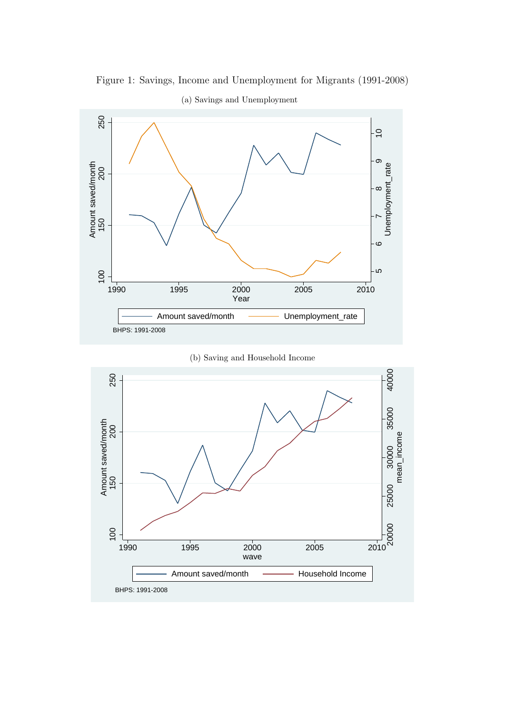

Figure 1: Savings, Income and Unemployment for Migrants (1991-2008)

(a) Savings and Unemployment

(b) Saving and Household Income

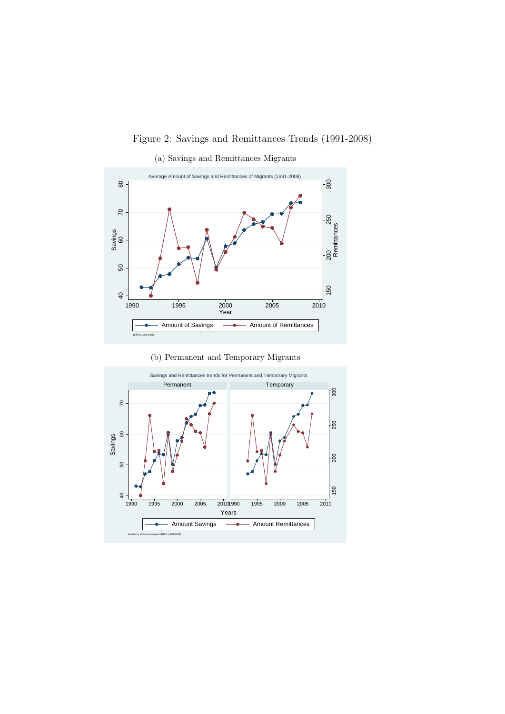Figure 2: Savings and Remittances Trends (1991-2008)



(a) Savings and Remittances Migrants

(b) Permanent and Temporary Migrants